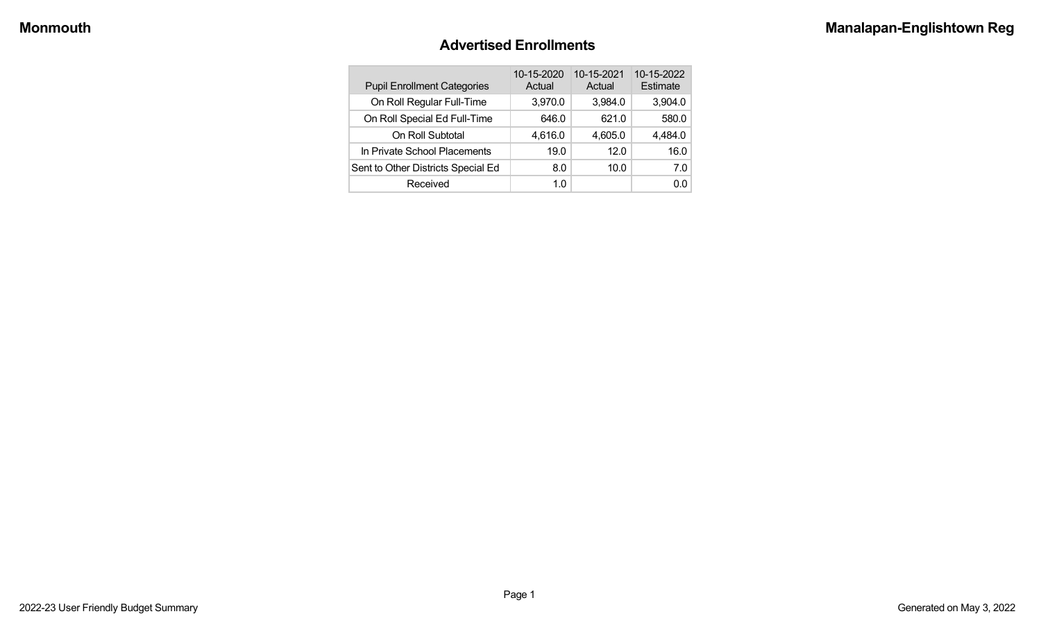#### **Advertised Enrollments**

| <b>Pupil Enrollment Categories</b> | 10-15-2020<br>Actual | 10-15-2021<br>Actual | 10-15-2022<br>Estimate |
|------------------------------------|----------------------|----------------------|------------------------|
| On Roll Regular Full-Time          | 3,970.0              | 3,984.0              | 3,904.0                |
| On Roll Special Ed Full-Time       | 646.0                | 621.0                | 580.0                  |
| On Roll Subtotal                   | 4,616.0              | 4,605.0              | 4,484.0                |
| In Private School Placements       | 19.0                 | 12.0                 | 16.0                   |
| Sent to Other Districts Special Ed | 8.0                  | 10.0                 | 7.0                    |
| Received                           | 1.0                  |                      | 0.0                    |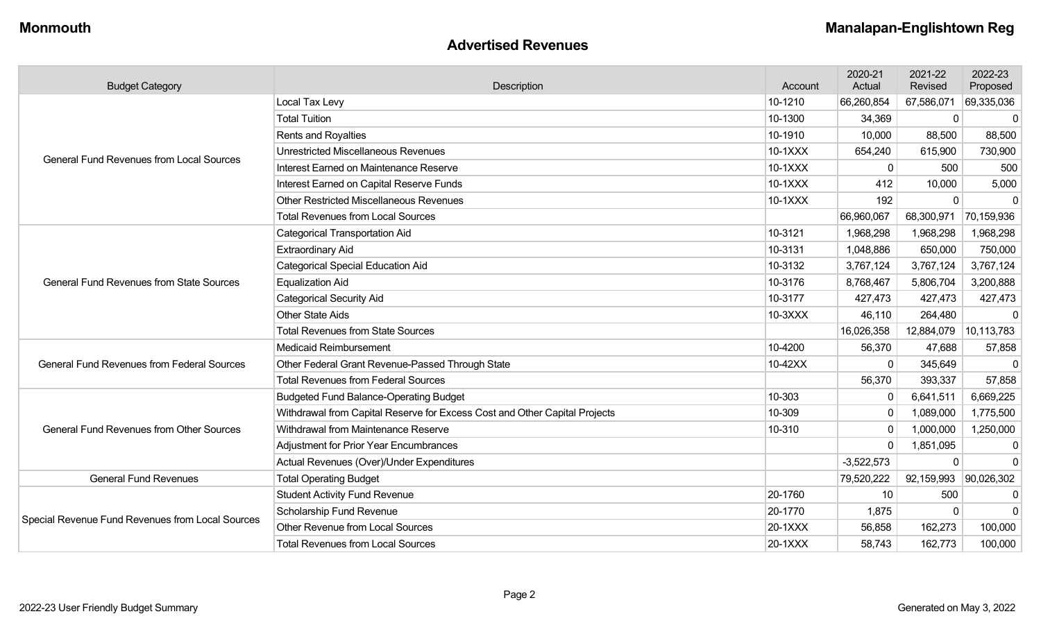#### **Advertised Revenues**

| <b>Budget Category</b>                            | Description                                                                | Account | 2020-21<br>Actual | 2021-22<br>Revised | 2022-23<br>Proposed |
|---------------------------------------------------|----------------------------------------------------------------------------|---------|-------------------|--------------------|---------------------|
|                                                   | Local Tax Levy                                                             | 10-1210 | 66,260,854        | 67,586,071         | 69,335,036          |
|                                                   | <b>Total Tuition</b>                                                       | 10-1300 | 34,369            | 0                  | $\mathbf 0$         |
|                                                   | Rents and Royalties                                                        | 10-1910 | 10,000            | 88,500             | 88,500              |
| <b>General Fund Revenues from Local Sources</b>   | <b>Unrestricted Miscellaneous Revenues</b>                                 | 10-1XXX | 654,240           | 615,900            | 730,900             |
|                                                   | Interest Earned on Maintenance Reserve                                     | 10-1XXX | 0                 | 500                | 500                 |
|                                                   | Interest Earned on Capital Reserve Funds                                   | 10-1XXX | 412               | 10,000             | 5,000               |
|                                                   | <b>Other Restricted Miscellaneous Revenues</b>                             | 10-1XXX | 192               | $\Omega$           | $\mathbf{0}$        |
|                                                   | <b>Total Revenues from Local Sources</b>                                   |         | 66,960,067        | 68,300,971         | 70,159,936          |
|                                                   | <b>Categorical Transportation Aid</b>                                      | 10-3121 | 1,968,298         | 1,968,298          | 1,968,298           |
|                                                   | <b>Extraordinary Aid</b>                                                   | 10-3131 | 1,048,886         | 650,000            | 750,000             |
|                                                   | <b>Categorical Special Education Aid</b>                                   | 10-3132 | 3,767,124         | 3,767,124          | 3,767,124           |
| <b>General Fund Revenues from State Sources</b>   | <b>Equalization Aid</b>                                                    | 10-3176 | 8,768,467         | 5,806,704          | 3,200,888           |
|                                                   | <b>Categorical Security Aid</b>                                            | 10-3177 | 427,473           | 427,473            | 427,473             |
|                                                   | <b>Other State Aids</b>                                                    | 10-3XXX | 46,110            | 264,480            | $\Omega$            |
|                                                   | <b>Total Revenues from State Sources</b>                                   |         | 16,026,358        | 12,884,079         | 10,113,783          |
|                                                   | <b>Medicaid Reimbursement</b>                                              | 10-4200 | 56,370            | 47,688             | 57,858              |
| <b>General Fund Revenues from Federal Sources</b> | Other Federal Grant Revenue-Passed Through State                           | 10-42XX | 0                 | 345,649            | $\mathbf 0$         |
|                                                   | <b>Total Revenues from Federal Sources</b>                                 |         | 56,370            | 393,337            | 57,858              |
|                                                   | <b>Budgeted Fund Balance-Operating Budget</b>                              | 10-303  | 0                 | 6,641,511          | 6,669,225           |
|                                                   | Withdrawal from Capital Reserve for Excess Cost and Other Capital Projects | 10-309  | 0                 | 1,089,000          | 1,775,500           |
| <b>General Fund Revenues from Other Sources</b>   | Withdrawal from Maintenance Reserve                                        | 10-310  | 0                 | 1,000,000          | 1,250,000           |
|                                                   | <b>Adjustment for Prior Year Encumbrances</b>                              |         | 0                 | 1,851,095          | $\mathbf 0$         |
|                                                   | Actual Revenues (Over)/Under Expenditures                                  |         | $-3,522,573$      |                    | $\mathbf{0}$        |
| <b>General Fund Revenues</b>                      | <b>Total Operating Budget</b>                                              |         | 79,520,222        | 92,159,993         | 90,026,302          |
|                                                   | <b>Student Activity Fund Revenue</b>                                       | 20-1760 | 10                | 500                | $\mathbf 0$         |
|                                                   | Scholarship Fund Revenue                                                   | 20-1770 | 1,875             |                    | $\mathbf 0$         |
| Special Revenue Fund Revenues from Local Sources  | Other Revenue from Local Sources                                           | 20-1XXX | 56,858            | 162,273            | 100,000             |
|                                                   | <b>Total Revenues from Local Sources</b>                                   | 20-1XXX | 58,743            | 162,773            | 100,000             |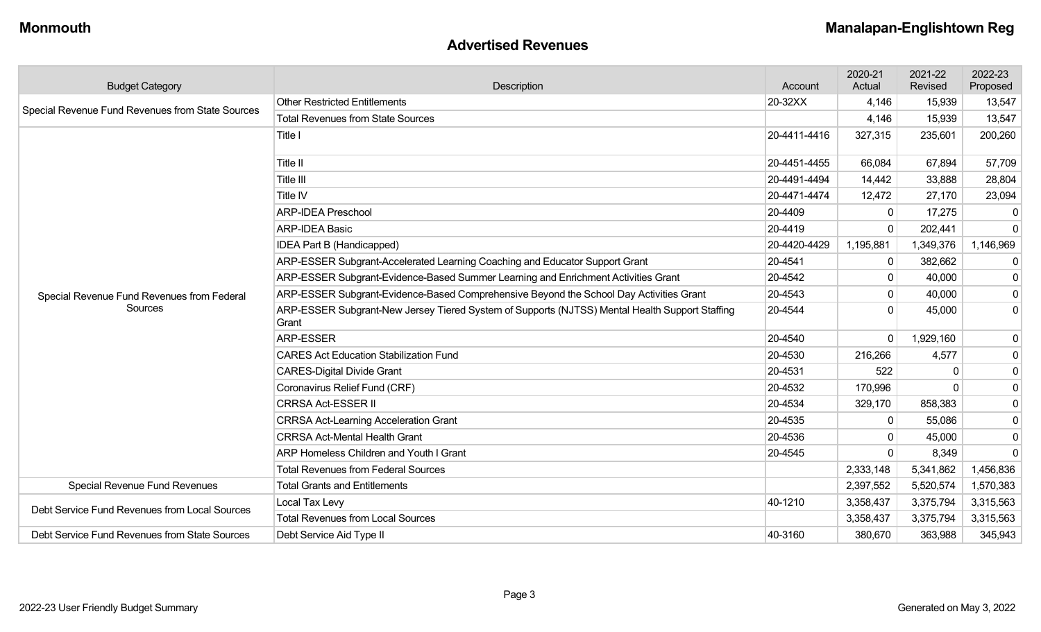#### **Advertised Revenues**

| <b>Budget Category</b>                                | Description                                                                                             | Account      | 2020-21<br>Actual | 2021-22<br>Revised | 2022-23<br>Proposed |
|-------------------------------------------------------|---------------------------------------------------------------------------------------------------------|--------------|-------------------|--------------------|---------------------|
|                                                       | <b>Other Restricted Entitlements</b>                                                                    | 20-32XX      | 4,146             | 15,939             | 13,547              |
| Special Revenue Fund Revenues from State Sources      | <b>Total Revenues from State Sources</b>                                                                |              | 4,146             | 15,939             | 13,547              |
|                                                       | Title I                                                                                                 | 20-4411-4416 | 327,315           | 235,601            | 200,260             |
|                                                       | Title II                                                                                                | 20-4451-4455 | 66,084            | 67,894             | 57,709              |
|                                                       | Title III                                                                                               | 20-4491-4494 | 14,442            | 33,888             | 28,804              |
|                                                       | Title IV                                                                                                | 20-4471-4474 | 12,472            | 27,170             | 23,094              |
|                                                       | <b>ARP-IDEA Preschool</b>                                                                               | 20-4409      | 0                 | 17,275             | 0                   |
|                                                       | <b>ARP-IDEA Basic</b>                                                                                   | 20-4419      | 0                 | 202,441            | $\mathbf 0$         |
|                                                       | IDEA Part B (Handicapped)                                                                               | 20-4420-4429 | 1,195,881         | 1,349,376          | 1,146,969           |
|                                                       | ARP-ESSER Subgrant-Accelerated Learning Coaching and Educator Support Grant                             | 20-4541      | 0                 | 382,662            | $\mathbf 0$         |
| Special Revenue Fund Revenues from Federal<br>Sources | ARP-ESSER Subgrant-Evidence-Based Summer Learning and Enrichment Activities Grant                       | 20-4542      | 0                 | 40,000             | $\mathbf 0$         |
|                                                       | ARP-ESSER Subgrant-Evidence-Based Comprehensive Beyond the School Day Activities Grant                  | 20-4543      | 0                 | 40,000             | $\mathbf 0$         |
|                                                       | ARP-ESSER Subgrant-New Jersey Tiered System of Supports (NJTSS) Mental Health Support Staffing<br>Grant | 20-4544      | 0                 | 45,000             | 0                   |
|                                                       | <b>ARP-ESSER</b>                                                                                        | 20-4540      | $\Omega$          | 1,929,160          | $\mathbf 0$         |
|                                                       | <b>CARES Act Education Stabilization Fund</b>                                                           | 20-4530      | 216,266           | 4,577              | 0                   |
|                                                       | <b>CARES-Digital Divide Grant</b>                                                                       | 20-4531      | 522               |                    | $\mathbf 0$         |
|                                                       | Coronavirus Relief Fund (CRF)                                                                           | 20-4532      | 170,996           |                    | 0                   |
|                                                       | <b>CRRSA Act-ESSER II</b>                                                                               | 20-4534      | 329,170           | 858,383            | 0                   |
|                                                       | <b>CRRSA Act-Learning Acceleration Grant</b>                                                            | 20-4535      | 0                 | 55,086             | 0                   |
|                                                       | <b>CRRSA Act-Mental Health Grant</b>                                                                    | 20-4536      | 0                 | 45,000             | $\mathbf 0$         |
|                                                       | ARP Homeless Children and Youth I Grant                                                                 | 20-4545      | $\Omega$          | 8,349              | $\mathbf 0$         |
|                                                       | <b>Total Revenues from Federal Sources</b>                                                              |              | 2,333,148         | 5,341,862          | 1,456,836           |
| Special Revenue Fund Revenues                         | <b>Total Grants and Entitlements</b>                                                                    |              | 2,397,552         | 5,520,574          | 1,570,383           |
| Debt Service Fund Revenues from Local Sources         | Local Tax Levy                                                                                          | 40-1210      | 3,358,437         | 3,375,794          | 3,315,563           |
|                                                       | <b>Total Revenues from Local Sources</b>                                                                |              | 3,358,437         | 3,375,794          | 3,315,563           |
| Debt Service Fund Revenues from State Sources         | Debt Service Aid Type II                                                                                | 40-3160      | 380,670           | 363,988            | 345,943             |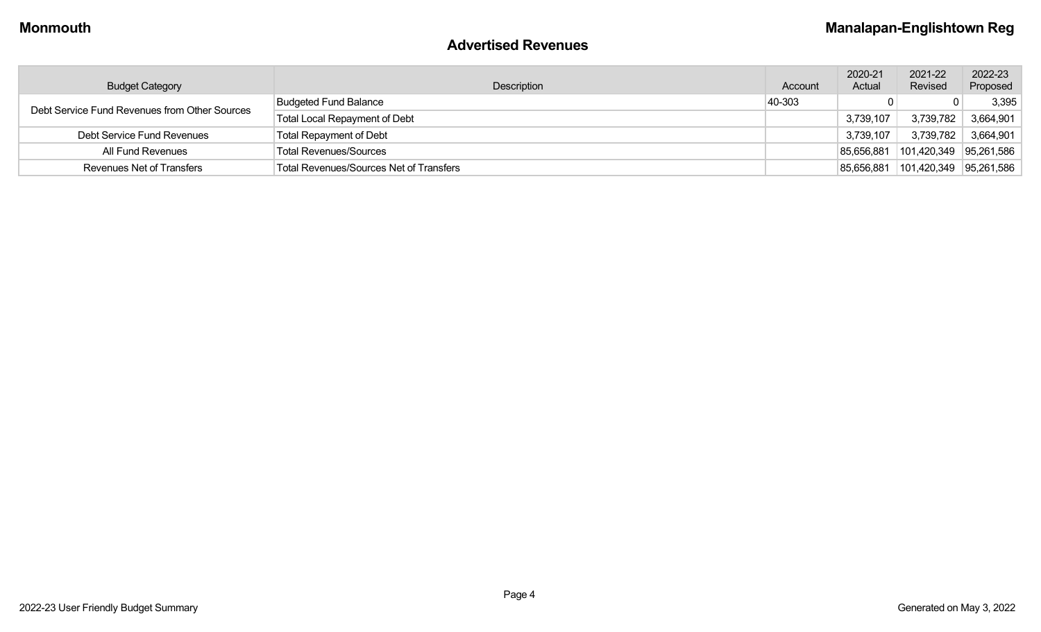#### **Advertised Revenues**

| <b>Budget Category</b>                        | Description                             | Account | 2020-21<br>Actual | 2021-22<br>Revised       | 2022-23<br>Proposed |
|-----------------------------------------------|-----------------------------------------|---------|-------------------|--------------------------|---------------------|
| Debt Service Fund Revenues from Other Sources | <b>Budgeted Fund Balance</b>            | 40-303  |                   |                          | 3,395               |
|                                               | Total Local Repayment of Debt           |         | 3,739,107         | 3,739,782                | 3,664,901           |
| Debt Service Fund Revenues                    | <b>Total Repayment of Debt</b>          |         | 3,739,107         |                          | 3,739,782 3,664,901 |
| All Fund Revenues                             | Total Revenues/Sources                  |         | 85,656,881        | $101,420,349$ 95,261,586 |                     |
| Revenues Net of Transfers                     | Total Revenues/Sources Net of Transfers |         | 85,656,881        | $101,420,349$ 95,261,586 |                     |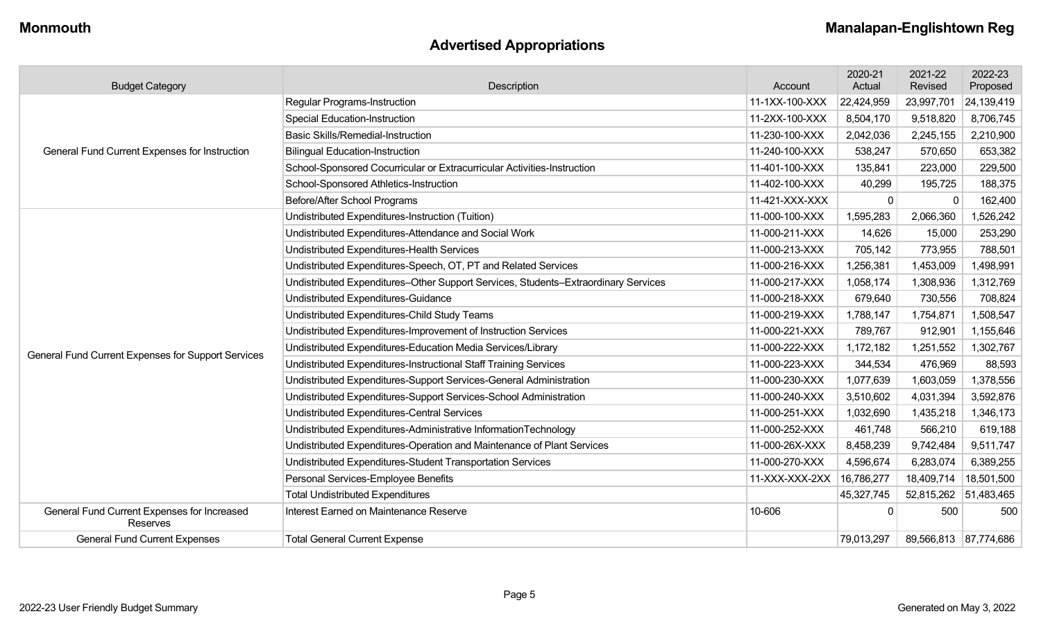# **Advertised Appropriations**

| <b>Budget Category</b>                                  | Description                                                                        | Account        | 2020-21<br>Actual | 2021-22<br>Revised    | 2022-23<br>Proposed |
|---------------------------------------------------------|------------------------------------------------------------------------------------|----------------|-------------------|-----------------------|---------------------|
|                                                         | <b>Regular Programs-Instruction</b>                                                | 11-1XX-100-XXX | 22,424,959        | 23,997,701            | 24,139,419          |
|                                                         | <b>Special Education-Instruction</b>                                               | 11-2XX-100-XXX | 8,504,170         | 9,518,820             | 8,706,745           |
|                                                         | <b>Basic Skills/Remedial-Instruction</b>                                           | 11-230-100-XXX | 2,042,036         | 2,245,155             | 2,210,900           |
| General Fund Current Expenses for Instruction           | <b>Bilingual Education-Instruction</b>                                             | 11-240-100-XXX | 538,247           | 570,650               | 653,382             |
|                                                         | School-Sponsored Cocurricular or Extracurricular Activities-Instruction            | 11-401-100-XXX | 135,841           | 223,000               | 229,500             |
|                                                         | School-Sponsored Athletics-Instruction                                             | 11-402-100-XXX | 40,299            | 195,725               | 188,375             |
|                                                         | Before/After School Programs                                                       | 11-421-XXX-XXX | $\Omega$          |                       | 162,400             |
|                                                         | Undistributed Expenditures-Instruction (Tuition)                                   | 11-000-100-XXX | 1,595,283         | 2,066,360             | 1,526,242           |
|                                                         | Undistributed Expenditures-Attendance and Social Work                              | 11-000-211-XXX | 14,626            | 15,000                | 253,290             |
|                                                         | Undistributed Expenditures-Health Services                                         | 11-000-213-XXX | 705,142           | 773,955               | 788,501             |
|                                                         | Undistributed Expenditures-Speech, OT, PT and Related Services                     | 11-000-216-XXX | 1,256,381         | 1,453,009             | 1,498,991           |
|                                                         | Undistributed Expenditures-Other Support Services, Students-Extraordinary Services | 11-000-217-XXX | 1,058,174         | 1,308,936             | 1,312,769           |
|                                                         | Undistributed Expenditures-Guidance                                                | 11-000-218-XXX | 679,640           | 730,556               | 708,824             |
|                                                         | Undistributed Expenditures-Child Study Teams                                       | 11-000-219-XXX | 1,788,147         | 1,754,871             | 1,508,547           |
|                                                         | Undistributed Expenditures-Improvement of Instruction Services                     | 11-000-221-XXX | 789,767           | 912,901               | 1,155,646           |
| General Fund Current Expenses for Support Services      | Undistributed Expenditures-Education Media Services/Library                        | 11-000-222-XXX | 1,172,182         | 1,251,552             | 1,302,767           |
|                                                         | Undistributed Expenditures-Instructional Staff Training Services                   | 11-000-223-XXX | 344,534           | 476,969               | 88,593              |
|                                                         | Undistributed Expenditures-Support Services-General Administration                 | 11-000-230-XXX | 1,077,639         | 1,603,059             | 1,378,556           |
|                                                         | Undistributed Expenditures-Support Services-School Administration                  | 11-000-240-XXX | 3,510,602         | 4,031,394             | 3,592,876           |
|                                                         | Undistributed Expenditures-Central Services                                        | 11-000-251-XXX | 1,032,690         | 1,435,218             | 1,346,173           |
|                                                         | Undistributed Expenditures-Administrative InformationTechnology                    | 11-000-252-XXX | 461,748           | 566,210               | 619,188             |
|                                                         | Undistributed Expenditures-Operation and Maintenance of Plant Services             | 11-000-26X-XXX | 8,458,239         | 9,742,484             | 9,511,747           |
|                                                         | Undistributed Expenditures-Student Transportation Services                         | 11-000-270-XXX | 4,596,674         | 6,283,074             | 6,389,255           |
|                                                         | Personal Services-Employee Benefits                                                | 11-XXX-XXX-2XX | 16,786,277        | 18,409,714            | 18,501,500          |
|                                                         | <b>Total Undistributed Expenditures</b>                                            |                | 45,327,745        | 52,815,262 51,483,465 |                     |
| General Fund Current Expenses for Increased<br>Reserves | Interest Earned on Maintenance Reserve                                             | 10-606         | 0                 | 500                   | 500                 |
| <b>General Fund Current Expenses</b>                    | <b>Total General Current Expense</b>                                               |                | 79,013,297        | 89,566,813 87,774,686 |                     |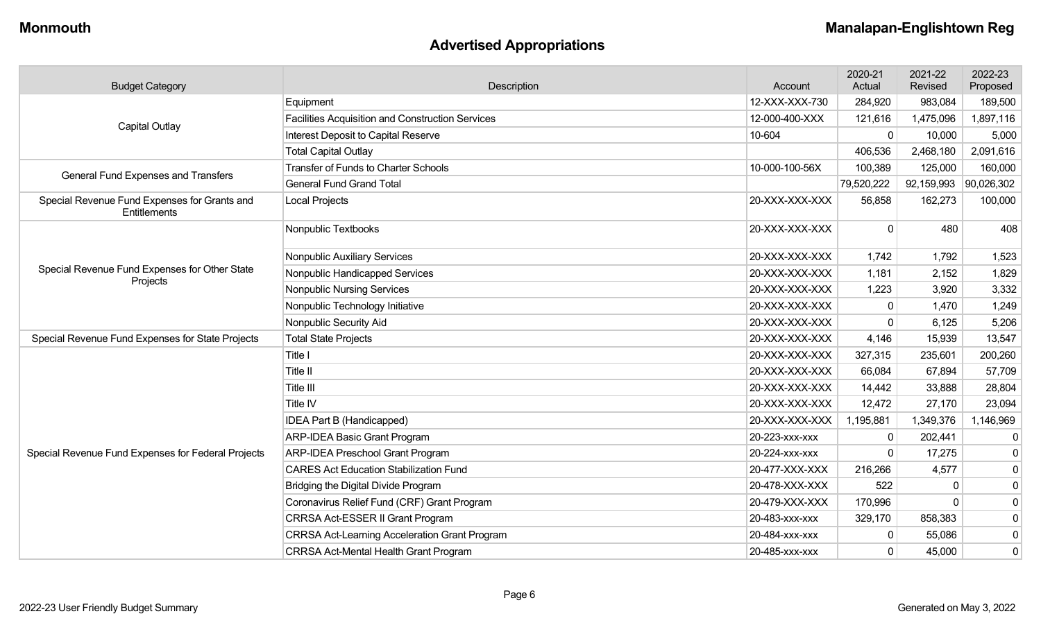# **Advertised Appropriations**

| <b>Budget Category</b>                                       | Description                                          | Account        | 2020-21<br>Actual | 2021-22<br>Revised | 2022-23<br>Proposed |
|--------------------------------------------------------------|------------------------------------------------------|----------------|-------------------|--------------------|---------------------|
| Capital Outlay                                               | Equipment                                            | 12-XXX-XXX-730 | 284,920           | 983,084            | 189,500             |
|                                                              | Facilities Acquisition and Construction Services     | 12-000-400-XXX | 121,616           | 1,475,096          | 1,897,116           |
|                                                              | Interest Deposit to Capital Reserve                  | 10-604         | 0                 | 10,000             | 5,000               |
|                                                              | <b>Total Capital Outlay</b>                          |                | 406,536           | 2,468,180          | 2,091,616           |
| General Fund Expenses and Transfers                          | Transfer of Funds to Charter Schools                 | 10-000-100-56X | 100,389           | 125,000            | 160,000             |
|                                                              | <b>General Fund Grand Total</b>                      |                | 79,520,222        | 92,159,993         | 90,026,302          |
| Special Revenue Fund Expenses for Grants and<br>Entitlements | Local Projects                                       | 20-XXX-XXX-XXX | 56,858            | 162,273            | 100,000             |
|                                                              | Nonpublic Textbooks                                  | 20-XXX-XXX-XXX | $\Omega$          | 480                | 408                 |
|                                                              | Nonpublic Auxiliary Services                         | 20-XXX-XXX-XXX | 1,742             | 1,792              | 1,523               |
| Special Revenue Fund Expenses for Other State                | Nonpublic Handicapped Services                       | 20-XXX-XXX-XXX | 1,181             | 2,152              | 1,829               |
| Projects                                                     | <b>Nonpublic Nursing Services</b>                    | 20-XXX-XXX-XXX | 1,223             | 3,920              | 3,332               |
|                                                              | Nonpublic Technology Initiative                      | 20-XXX-XXX-XXX | 0                 | 1,470              | 1,249               |
|                                                              | Nonpublic Security Aid                               | 20-XXX-XXX-XXX | 0                 | 6,125              | 5,206               |
| Special Revenue Fund Expenses for State Projects             | <b>Total State Projects</b>                          | 20-XXX-XXX-XXX | 4,146             | 15,939             | 13,547              |
|                                                              | Title I                                              | 20-XXX-XXX-XXX | 327,315           | 235,601            | 200,260             |
|                                                              | Title II                                             | 20-XXX-XXX-XXX | 66,084            | 67,894             | 57,709              |
|                                                              | Title III                                            | 20-XXX-XXX-XXX | 14,442            | 33,888             | 28,804              |
|                                                              | Title IV                                             | 20-XXX-XXX-XXX | 12,472            | 27,170             | 23,094              |
|                                                              | IDEA Part B (Handicapped)                            | 20-XXX-XXX-XXX | 1,195,881         | 1,349,376          | 1,146,969           |
|                                                              | <b>ARP-IDEA Basic Grant Program</b>                  | 20-223-xxx-xxx | 0                 | 202,441            | $\mathbf 0$         |
| Special Revenue Fund Expenses for Federal Projects           | <b>ARP-IDEA Preschool Grant Program</b>              | 20-224-xxx-xxx | 0                 | 17,275             | $\mathbf 0$         |
|                                                              | <b>CARES Act Education Stabilization Fund</b>        | 20-477-XXX-XXX | 216,266           | 4,577              | $\mathbf 0$         |
|                                                              | Bridging the Digital Divide Program                  | 20-478-XXX-XXX | 522               |                    | $\mathbf 0$         |
|                                                              | Coronavirus Relief Fund (CRF) Grant Program          | 20-479-XXX-XXX | 170,996           |                    | $\mathsf{O}\xspace$ |
|                                                              | CRRSA Act-ESSER II Grant Program                     | 20-483-xxx-xxx | 329,170           | 858,383            | $\mathbf 0$         |
|                                                              | <b>CRRSA Act-Learning Acceleration Grant Program</b> | 20-484-XXX-XXX | 0                 | 55,086             | $\mathbf 0$         |
|                                                              | <b>CRRSA Act-Mental Health Grant Program</b>         | 20-485-xxx-xxx | $\overline{0}$    | 45,000             | $\mathbf 0$         |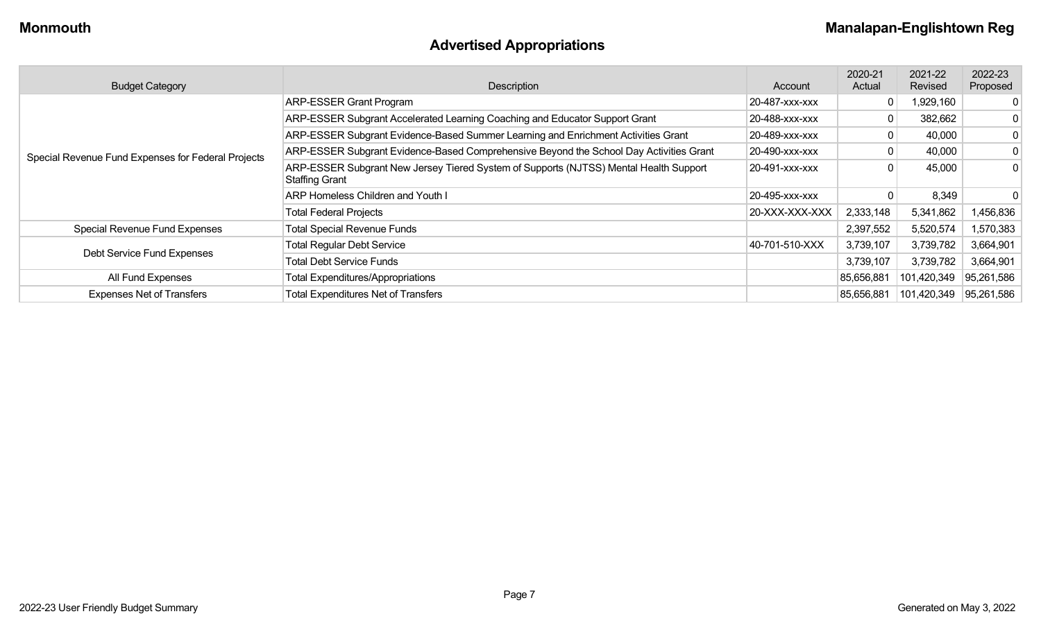# **Advertised Appropriations**

| <b>Budget Category</b>                             | Description                                                                                                    | Account        | 2020-21<br>Actual | 2021-22<br>Revised | 2022-23<br>Proposed |
|----------------------------------------------------|----------------------------------------------------------------------------------------------------------------|----------------|-------------------|--------------------|---------------------|
|                                                    | <b>ARP-ESSER Grant Program</b>                                                                                 | 20-487-xxx-xxx |                   | 1,929,160          |                     |
|                                                    | ARP-ESSER Subgrant Accelerated Learning Coaching and Educator Support Grant                                    | 20-488-xxx-xxx | 0                 | 382,662            | 0                   |
|                                                    | ARP-ESSER Subgrant Evidence-Based Summer Learning and Enrichment Activities Grant                              | 20-489-xxx-xxx |                   | 40,000             | 0                   |
| Special Revenue Fund Expenses for Federal Projects | ARP-ESSER Subgrant Evidence-Based Comprehensive Beyond the School Day Activities Grant                         | 20-490-xxx-xxx |                   | 40,000             | 0                   |
|                                                    | ARP-ESSER Subgrant New Jersey Tiered System of Supports (NJTSS) Mental Health Support<br><b>Staffing Grant</b> | 20-491-xxx-xxx |                   | 45,000             | $\Omega$            |
|                                                    | ARP Homeless Children and Youth I                                                                              | 20-495-xxx-xxx |                   | 8,349              |                     |
|                                                    | <b>Total Federal Projects</b>                                                                                  | 20-XXX-XXX-XXX | 2,333,148         | 5,341,862          | 1,456,836           |
| Special Revenue Fund Expenses                      | <b>Total Special Revenue Funds</b>                                                                             |                | 2,397,552         | 5,520,574          | 1,570,383           |
|                                                    | <b>Total Regular Debt Service</b>                                                                              | 40-701-510-XXX | 3,739,107         | 3,739,782          | 3,664,901           |
| Debt Service Fund Expenses                         | <b>Total Debt Service Funds</b>                                                                                |                | 3,739,107         | 3,739,782          | 3,664,901           |
| All Fund Expenses                                  | <b>Total Expenditures/Appropriations</b>                                                                       |                | 85,656,881        | 101,420,349        | 95,261,586          |
| <b>Expenses Net of Transfers</b>                   | <b>Total Expenditures Net of Transfers</b>                                                                     |                | 85,656,881        | 101,420,349        | 95,261,586          |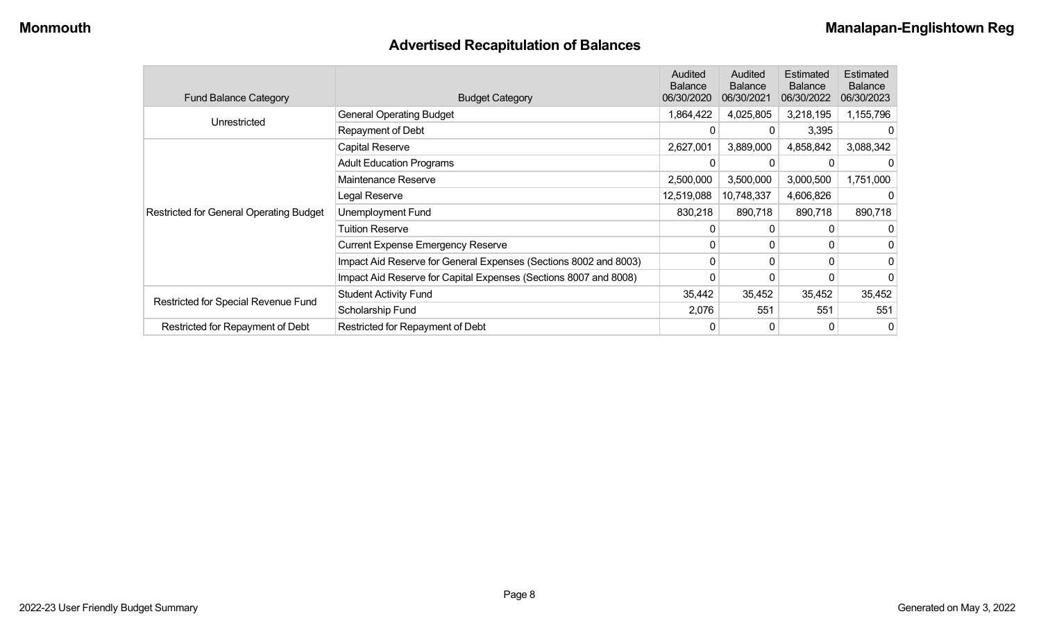# **Advertised Recapitulation of Balances**

| <b>Fund Balance Category</b>                   | <b>Budget Category</b>                                           | Audited<br><b>Balance</b><br>06/30/2020 | Audited<br><b>Balance</b><br>06/30/2021 | Estimated<br><b>Balance</b><br>06/30/2022 | Estimated<br><b>Balance</b><br>06/30/2023 |
|------------------------------------------------|------------------------------------------------------------------|-----------------------------------------|-----------------------------------------|-------------------------------------------|-------------------------------------------|
| Unrestricted                                   | <b>General Operating Budget</b>                                  | 1,864,422                               | 4,025,805                               | 3,218,195                                 | 1,155,796                                 |
|                                                | Repayment of Debt                                                | 0                                       | 0                                       | 3,395                                     | $\Omega$                                  |
|                                                | Capital Reserve                                                  | 2,627,001                               | 3,889,000                               | 4,858,842                                 | 3,088,342                                 |
|                                                | <b>Adult Education Programs</b>                                  |                                         |                                         |                                           |                                           |
|                                                | Maintenance Reserve                                              | 2,500,000                               | 3,500,000                               | 3,000,500                                 | 1,751,000                                 |
|                                                | Legal Reserve                                                    | 12,519,088                              | 10,748,337                              | 4,606,826                                 | 0                                         |
| <b>Restricted for General Operating Budget</b> | Unemployment Fund                                                | 830,218                                 | 890,718                                 | 890,718                                   | 890,718                                   |
|                                                | Tuition Reserve                                                  | 0                                       |                                         |                                           | 0                                         |
|                                                | <b>Current Expense Emergency Reserve</b>                         | $\mathbf{0}$                            | $\Omega$                                | $\Omega$                                  | 0                                         |
|                                                | Impact Aid Reserve for General Expenses (Sections 8002 and 8003) | 0                                       | $\Omega$                                | $\Omega$                                  | 0                                         |
|                                                | Impact Aid Reserve for Capital Expenses (Sections 8007 and 8008) | 0                                       |                                         |                                           | 0                                         |
|                                                | <b>Student Activity Fund</b>                                     | 35,442                                  | 35,452                                  | 35,452                                    | 35,452                                    |
| Restricted for Special Revenue Fund            | Scholarship Fund                                                 | 2,076                                   | 551                                     | 551                                       | 551                                       |
| Restricted for Repayment of Debt               | Restricted for Repayment of Debt                                 | 0                                       |                                         | 0                                         | 0                                         |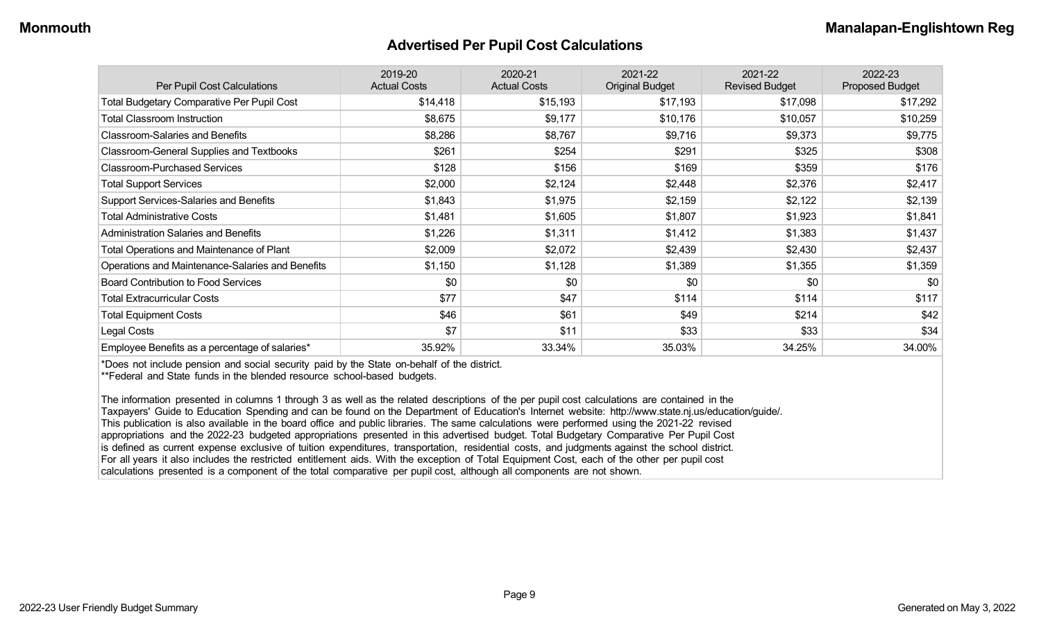#### **Advertised Per Pupil Cost Calculations**

| Per Pupil Cost Calculations                       | 2019-20<br><b>Actual Costs</b> | 2020-21<br><b>Actual Costs</b> | 2021-22<br><b>Original Budget</b> | 2021-22<br><b>Revised Budget</b> | 2022-23<br><b>Proposed Budget</b> |
|---------------------------------------------------|--------------------------------|--------------------------------|-----------------------------------|----------------------------------|-----------------------------------|
| <b>Total Budgetary Comparative Per Pupil Cost</b> | \$14,418                       | \$15,193                       | \$17,193                          | \$17,098                         | \$17,292                          |
| <b>Total Classroom Instruction</b>                | \$8,675                        | \$9,177                        | \$10,176                          | \$10,057                         | \$10,259                          |
| <b>Classroom-Salaries and Benefits</b>            | \$8,286                        | \$8,767                        | \$9,716                           | \$9,373                          | \$9,775                           |
| Classroom-General Supplies and Textbooks          | \$261                          | \$254                          | \$291                             | \$325                            | \$308                             |
| <b>Classroom-Purchased Services</b>               | \$128                          | \$156                          | \$169                             | \$359                            | \$176                             |
| <b>Total Support Services</b>                     | \$2,000                        | \$2,124                        | \$2,448                           | \$2,376                          | \$2,417                           |
| Support Services-Salaries and Benefits            | \$1,843                        | \$1,975                        | \$2,159                           | \$2,122                          | \$2,139                           |
| <b>Total Administrative Costs</b>                 | \$1,481                        | \$1,605                        | \$1,807                           | \$1,923                          | \$1,841                           |
| <b>Administration Salaries and Benefits</b>       | \$1,226                        | \$1,311                        | \$1,412                           | \$1,383                          | \$1,437                           |
| Total Operations and Maintenance of Plant         | \$2,009                        | \$2,072                        | \$2,439                           | \$2,430                          | \$2,437                           |
| Operations and Maintenance-Salaries and Benefits  | \$1,150                        | \$1,128                        | \$1,389                           | \$1,355                          | \$1,359                           |
| <b>Board Contribution to Food Services</b>        | \$0                            | \$0                            | \$0                               | \$0                              | \$0                               |
| <b>Total Extracurricular Costs</b>                | \$77                           | \$47                           | \$114                             | \$114                            | \$117                             |
| <b>Total Equipment Costs</b>                      | \$46                           | \$61                           | \$49                              | \$214                            | \$42                              |
| Legal Costs                                       | \$7                            | \$11                           | \$33                              | \$33                             | \$34                              |
| Employee Benefits as a percentage of salaries*    | 35.92%                         | 33.34%                         | 35.03%                            | 34.25%                           | 34.00%                            |

\*Does not include pension and social security paid by the State on-behalf of the district.

\*\*Federal and State funds in the blended resource school-based budgets.

The information presented in columns 1 through 3 as well as the related descriptions of the per pupil cost calculations are contained in the Taxpayers' Guide to Education Spending and can be found on the Department of Education's Internet website: http://www.state.nj.us/education/guide/. This publication is also available in the board office and public libraries. The same calculations were performed using the 2021-22 revised appropriations and the 2022-23 budgeted appropriations presented in this advertised budget. Total Budgetary Comparative Per Pupil Cost is defined as current expense exclusive of tuition expenditures, transportation, residential costs, and judgments against the school district. For all years it also includes the restricted entitlement aids. With the exception of Total Equipment Cost, each of the other per pupil cost calculations presented is a component of the total comparative per pupil cost, although all components are not shown.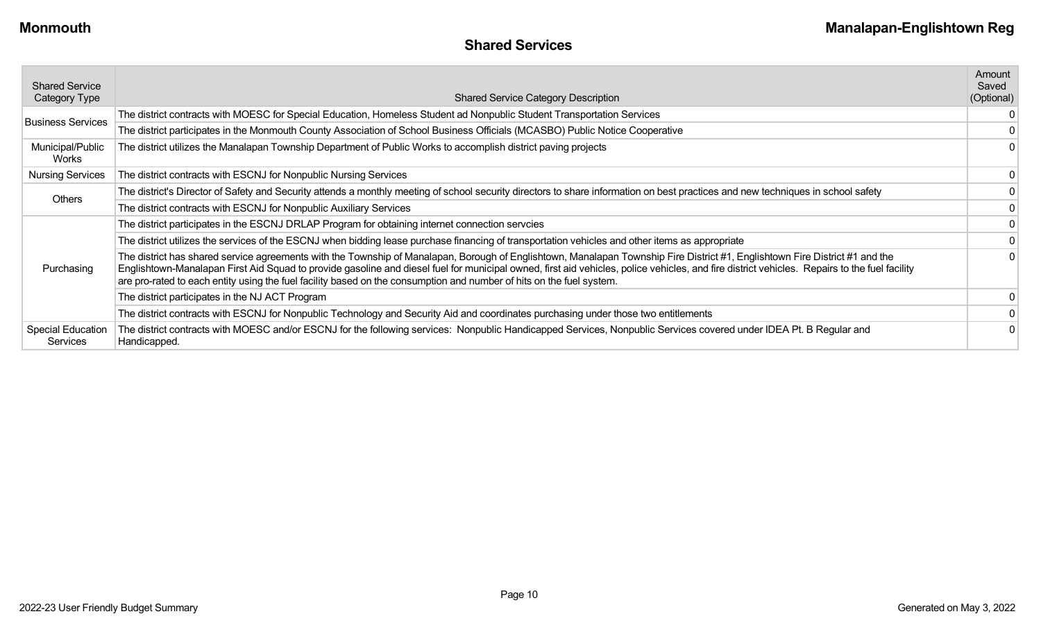| <b>Shared Service</b><br>Category Type | <b>Shared Service Category Description</b>                                                                                                                                                                                                                                                                                                                                                                                                                                                           | Amount<br>Saved<br>(Optional) |
|----------------------------------------|------------------------------------------------------------------------------------------------------------------------------------------------------------------------------------------------------------------------------------------------------------------------------------------------------------------------------------------------------------------------------------------------------------------------------------------------------------------------------------------------------|-------------------------------|
| <b>Business Services</b>               | The district contracts with MOESC for Special Education, Homeless Student ad Nonpublic Student Transportation Services                                                                                                                                                                                                                                                                                                                                                                               |                               |
|                                        | The district participates in the Monmouth County Association of School Business Officials (MCASBO) Public Notice Cooperative                                                                                                                                                                                                                                                                                                                                                                         |                               |
| Municipal/Public<br>Works              | The district utilizes the Manalapan Township Department of Public Works to accomplish district paving projects                                                                                                                                                                                                                                                                                                                                                                                       |                               |
| <b>Nursing Services</b>                | The district contracts with ESCNJ for Nonpublic Nursing Services                                                                                                                                                                                                                                                                                                                                                                                                                                     |                               |
| <b>Others</b>                          | The district's Director of Safety and Security attends a monthly meeting of school security directors to share information on best practices and new techniques in school safety                                                                                                                                                                                                                                                                                                                     |                               |
|                                        | The district contracts with ESCNJ for Nonpublic Auxiliary Services                                                                                                                                                                                                                                                                                                                                                                                                                                   |                               |
|                                        | The district participates in the ESCNJ DRLAP Program for obtaining internet connection servcies                                                                                                                                                                                                                                                                                                                                                                                                      |                               |
|                                        | The district utilizes the services of the ESCNJ when bidding lease purchase financing of transportation vehicles and other items as appropriate                                                                                                                                                                                                                                                                                                                                                      |                               |
| Purchasing                             | The district has shared service agreements with the Township of Manalapan, Borough of Englishtown, Manalapan Township Fire District #1, Englishtown Fire District #1 and the<br>Englishtown-Manalapan First Aid Squad to provide gasoline and diesel fuel for municipal owned, first aid vehicles, police vehicles, and fire district vehicles. Repairs to the fuel facility<br>are pro-rated to each entity using the fuel facility based on the consumption and number of hits on the fuel system. |                               |
|                                        | The district participates in the NJ ACT Program                                                                                                                                                                                                                                                                                                                                                                                                                                                      |                               |
|                                        | The district contracts with ESCNJ for Nonpublic Technology and Security Aid and coordinates purchasing under those two entitlements                                                                                                                                                                                                                                                                                                                                                                  |                               |
| <b>Special Education</b><br>Services   | The district contracts with MOESC and/or ESCNJ for the following services: Nonpublic Handicapped Services, Nonpublic Services covered under IDEA Pt. B Regular and<br>Handicapped.                                                                                                                                                                                                                                                                                                                   |                               |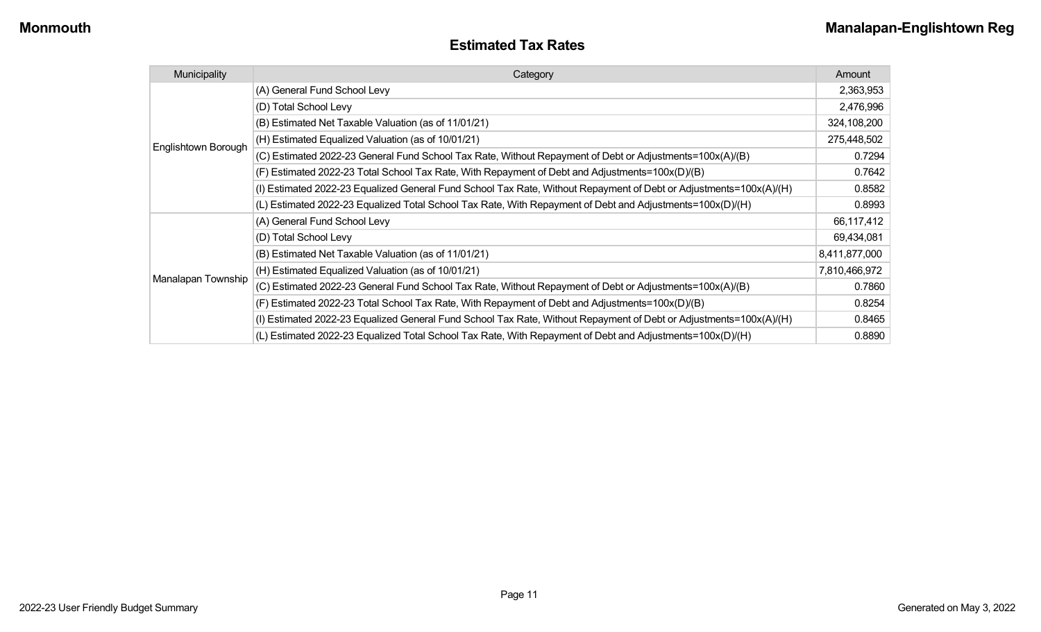| <b>Estimated Tax Rates</b> |  |
|----------------------------|--|
|----------------------------|--|

| Municipality        | Category                                                                                                           | Amount        |
|---------------------|--------------------------------------------------------------------------------------------------------------------|---------------|
|                     | (A) General Fund School Levy                                                                                       | 2,363,953     |
|                     | (D) Total School Levy                                                                                              | 2,476,996     |
|                     | (B) Estimated Net Taxable Valuation (as of 11/01/21)                                                               | 324,108,200   |
| Englishtown Borough | (H) Estimated Equalized Valuation (as of 10/01/21)                                                                 | 275,448,502   |
|                     | (C) Estimated 2022-23 General Fund School Tax Rate, Without Repayment of Debt or Adjustments=100x(A)/(B)           | 0.7294        |
|                     | (F) Estimated 2022-23 Total School Tax Rate, With Repayment of Debt and Adjustments=100x(D)/(B)                    | 0.7642        |
|                     | (I) Estimated 2022-23 Equalized General Fund School Tax Rate, Without Repayment of Debt or Adjustments=100x(A)/(H) | 0.8582        |
|                     | (L) Estimated 2022-23 Equalized Total School Tax Rate, With Repayment of Debt and Adjustments=100x(D)/(H)          | 0.8993        |
|                     | (A) General Fund School Levy                                                                                       | 66,117,412    |
|                     | (D) Total School Levy                                                                                              | 69,434,081    |
|                     | (B) Estimated Net Taxable Valuation (as of 11/01/21)                                                               | 8,411,877,000 |
|                     | (H) Estimated Equalized Valuation (as of 10/01/21)                                                                 | 7,810,466,972 |
| Manalapan Township  | (C) Estimated 2022-23 General Fund School Tax Rate, Without Repayment of Debt or Adjustments=100x(A)/(B)           | 0.7860        |
|                     | (F) Estimated 2022-23 Total School Tax Rate, With Repayment of Debt and Adjustments=100x(D)/(B)                    | 0.8254        |
|                     | (I) Estimated 2022-23 Equalized General Fund School Tax Rate, Without Repayment of Debt or Adjustments=100x(A)/(H) | 0.8465        |
|                     | (L) Estimated 2022-23 Equalized Total School Tax Rate, With Repayment of Debt and Adjustments=100x(D)/(H)          | 0.8890        |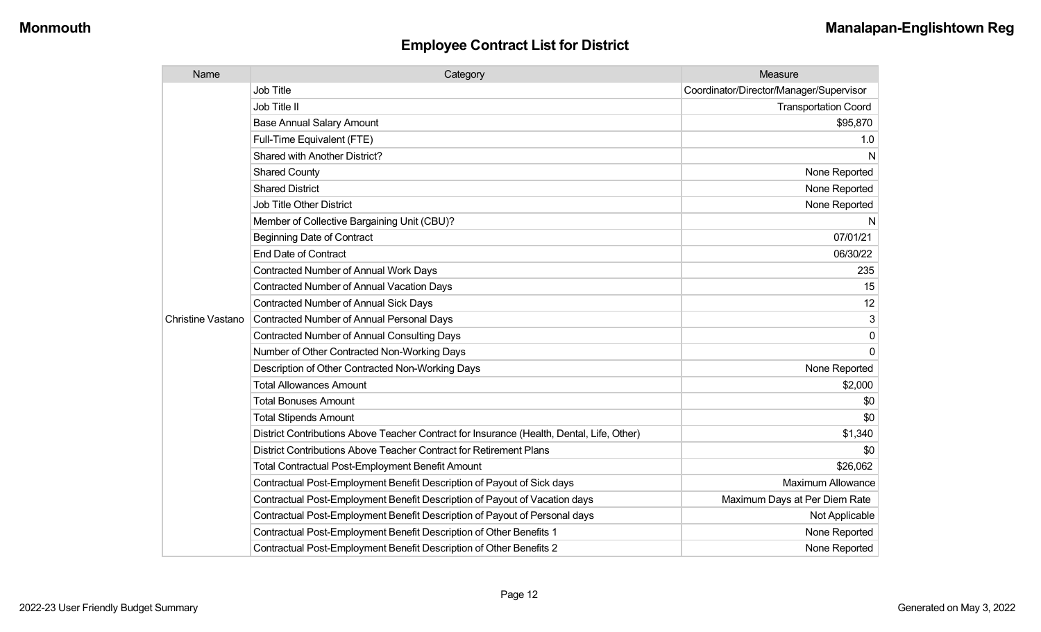| Name                     | Category                                                                                  | Measure                                 |
|--------------------------|-------------------------------------------------------------------------------------------|-----------------------------------------|
|                          | <b>Job Title</b>                                                                          | Coordinator/Director/Manager/Supervisor |
|                          | Job Title II                                                                              | <b>Transportation Coord</b>             |
|                          | <b>Base Annual Salary Amount</b>                                                          | \$95,870                                |
|                          | Full-Time Equivalent (FTE)                                                                | 1.0                                     |
|                          | <b>Shared with Another District?</b>                                                      | N                                       |
|                          | <b>Shared County</b>                                                                      | None Reported                           |
|                          | <b>Shared District</b>                                                                    | None Reported                           |
|                          | <b>Job Title Other District</b>                                                           | None Reported                           |
|                          | Member of Collective Bargaining Unit (CBU)?                                               | N                                       |
|                          | <b>Beginning Date of Contract</b>                                                         | 07/01/21                                |
|                          | <b>End Date of Contract</b>                                                               | 06/30/22                                |
|                          | Contracted Number of Annual Work Days                                                     | 235                                     |
|                          | <b>Contracted Number of Annual Vacation Days</b>                                          | 15                                      |
|                          | <b>Contracted Number of Annual Sick Days</b>                                              | 12                                      |
| <b>Christine Vastano</b> | <b>Contracted Number of Annual Personal Days</b>                                          | 3                                       |
|                          | <b>Contracted Number of Annual Consulting Days</b>                                        | $\Omega$                                |
|                          | Number of Other Contracted Non-Working Days                                               | $\Omega$                                |
|                          | Description of Other Contracted Non-Working Days                                          | None Reported                           |
|                          | <b>Total Allowances Amount</b>                                                            | \$2,000                                 |
|                          | <b>Total Bonuses Amount</b>                                                               | \$0                                     |
|                          | <b>Total Stipends Amount</b>                                                              | \$0                                     |
|                          | District Contributions Above Teacher Contract for Insurance (Health, Dental, Life, Other) | \$1,340                                 |
|                          | District Contributions Above Teacher Contract for Retirement Plans                        | \$0                                     |
|                          | <b>Total Contractual Post-Employment Benefit Amount</b>                                   | \$26,062                                |
|                          | Contractual Post-Employment Benefit Description of Payout of Sick days                    | <b>Maximum Allowance</b>                |
|                          | Contractual Post-Employment Benefit Description of Payout of Vacation days                | Maximum Days at Per Diem Rate           |
|                          | Contractual Post-Employment Benefit Description of Payout of Personal days                | Not Applicable                          |
|                          | Contractual Post-Employment Benefit Description of Other Benefits 1                       | None Reported                           |
|                          | Contractual Post-Employment Benefit Description of Other Benefits 2                       | None Reported                           |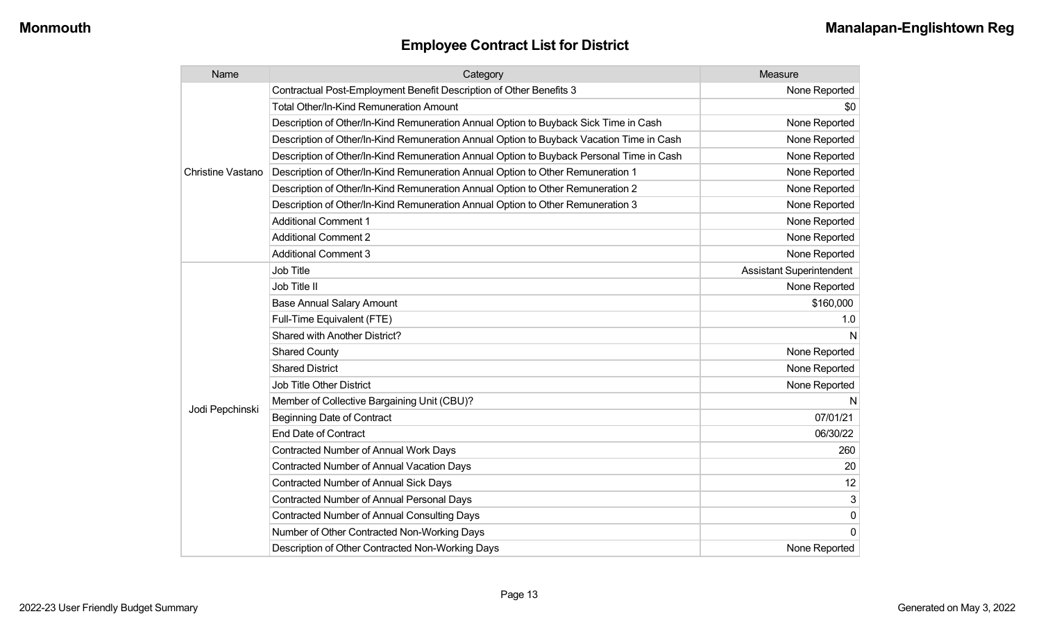| Name                     | Category                                                                                 | Measure                         |
|--------------------------|------------------------------------------------------------------------------------------|---------------------------------|
|                          | Contractual Post-Employment Benefit Description of Other Benefits 3                      | None Reported                   |
|                          | Total Other/In-Kind Remuneration Amount                                                  | \$0                             |
|                          | Description of Other/In-Kind Remuneration Annual Option to Buyback Sick Time in Cash     | None Reported                   |
|                          | Description of Other/In-Kind Remuneration Annual Option to Buyback Vacation Time in Cash | None Reported                   |
|                          | Description of Other/In-Kind Remuneration Annual Option to Buyback Personal Time in Cash | None Reported                   |
| <b>Christine Vastano</b> | Description of Other/In-Kind Remuneration Annual Option to Other Remuneration 1          | None Reported                   |
|                          | Description of Other/In-Kind Remuneration Annual Option to Other Remuneration 2          | None Reported                   |
|                          | Description of Other/In-Kind Remuneration Annual Option to Other Remuneration 3          | None Reported                   |
|                          | <b>Additional Comment 1</b>                                                              | None Reported                   |
|                          | <b>Additional Comment 2</b>                                                              | None Reported                   |
|                          | <b>Additional Comment 3</b>                                                              | None Reported                   |
|                          | <b>Job Title</b>                                                                         | <b>Assistant Superintendent</b> |
|                          | Job Title II                                                                             | None Reported                   |
|                          | <b>Base Annual Salary Amount</b>                                                         | \$160,000                       |
|                          | Full-Time Equivalent (FTE)                                                               | 1.0                             |
|                          | Shared with Another District?                                                            | N                               |
|                          | <b>Shared County</b>                                                                     | None Reported                   |
|                          | <b>Shared District</b>                                                                   | None Reported                   |
|                          | <b>Job Title Other District</b>                                                          | None Reported                   |
|                          | Member of Collective Bargaining Unit (CBU)?                                              | N                               |
| Jodi Pepchinski          | <b>Beginning Date of Contract</b>                                                        | 07/01/21                        |
|                          | <b>End Date of Contract</b>                                                              | 06/30/22                        |
|                          | <b>Contracted Number of Annual Work Days</b>                                             | 260                             |
|                          | <b>Contracted Number of Annual Vacation Days</b>                                         | 20                              |
|                          | Contracted Number of Annual Sick Days                                                    | 12                              |
|                          | <b>Contracted Number of Annual Personal Days</b>                                         |                                 |
|                          | <b>Contracted Number of Annual Consulting Days</b>                                       | $\mathbf{0}$                    |
|                          | Number of Other Contracted Non-Working Days                                              | $\Omega$                        |
|                          | Description of Other Contracted Non-Working Days                                         | None Reported                   |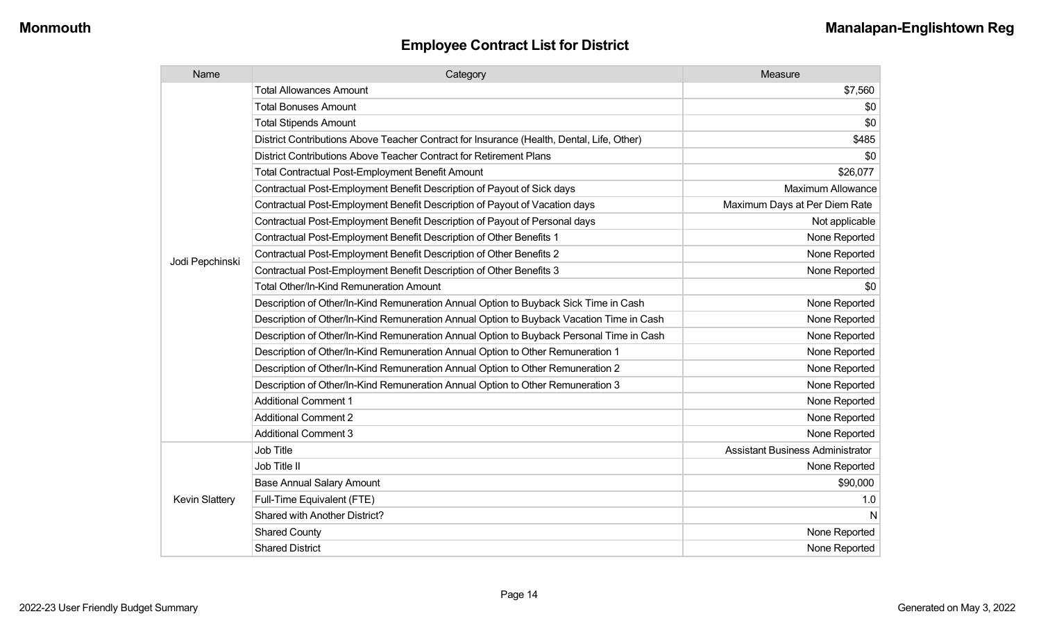| Name                  | Category                                                                                  | Measure                                 |
|-----------------------|-------------------------------------------------------------------------------------------|-----------------------------------------|
|                       | <b>Total Allowances Amount</b>                                                            | \$7,560                                 |
|                       | <b>Total Bonuses Amount</b>                                                               | \$0                                     |
|                       | <b>Total Stipends Amount</b>                                                              | \$0                                     |
|                       | District Contributions Above Teacher Contract for Insurance (Health, Dental, Life, Other) | \$485                                   |
|                       | District Contributions Above Teacher Contract for Retirement Plans                        | \$0                                     |
|                       | <b>Total Contractual Post-Employment Benefit Amount</b>                                   | \$26,077                                |
|                       | Contractual Post-Employment Benefit Description of Payout of Sick days                    | <b>Maximum Allowance</b>                |
|                       | Contractual Post-Employment Benefit Description of Payout of Vacation days                | Maximum Days at Per Diem Rate           |
|                       | Contractual Post-Employment Benefit Description of Payout of Personal days                | Not applicable                          |
|                       | Contractual Post-Employment Benefit Description of Other Benefits 1                       | None Reported                           |
|                       | Contractual Post-Employment Benefit Description of Other Benefits 2                       | None Reported                           |
| Jodi Pepchinski       | Contractual Post-Employment Benefit Description of Other Benefits 3                       | None Reported                           |
|                       | <b>Total Other/In-Kind Remuneration Amount</b>                                            | \$0                                     |
|                       | Description of Other/In-Kind Remuneration Annual Option to Buyback Sick Time in Cash      | None Reported                           |
|                       | Description of Other/In-Kind Remuneration Annual Option to Buyback Vacation Time in Cash  | None Reported                           |
|                       | Description of Other/In-Kind Remuneration Annual Option to Buyback Personal Time in Cash  | None Reported                           |
|                       | Description of Other/In-Kind Remuneration Annual Option to Other Remuneration 1           | None Reported                           |
|                       | Description of Other/In-Kind Remuneration Annual Option to Other Remuneration 2           | None Reported                           |
|                       | Description of Other/In-Kind Remuneration Annual Option to Other Remuneration 3           | None Reported                           |
|                       | <b>Additional Comment 1</b>                                                               | None Reported                           |
|                       | <b>Additional Comment 2</b>                                                               | None Reported                           |
|                       | <b>Additional Comment 3</b>                                                               | None Reported                           |
|                       | Job Title                                                                                 | <b>Assistant Business Administrator</b> |
|                       | Job Title II                                                                              | None Reported                           |
|                       | <b>Base Annual Salary Amount</b>                                                          | \$90,000                                |
| <b>Kevin Slattery</b> | Full-Time Equivalent (FTE)                                                                | 1.0                                     |
|                       | Shared with Another District?                                                             | N                                       |
|                       | <b>Shared County</b>                                                                      | None Reported                           |
|                       | <b>Shared District</b>                                                                    | None Reported                           |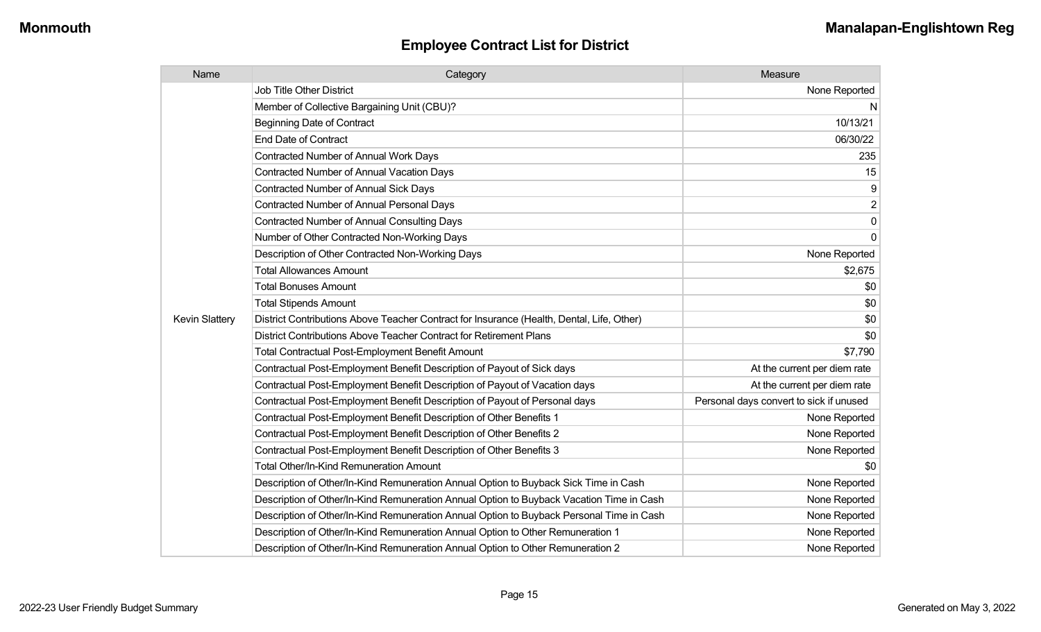| Name                  | Category                                                                                  | Measure                                 |
|-----------------------|-------------------------------------------------------------------------------------------|-----------------------------------------|
|                       | <b>Job Title Other District</b>                                                           | None Reported                           |
|                       | Member of Collective Bargaining Unit (CBU)?                                               | N                                       |
|                       | <b>Beginning Date of Contract</b>                                                         | 10/13/21                                |
|                       | <b>End Date of Contract</b>                                                               | 06/30/22                                |
|                       | <b>Contracted Number of Annual Work Days</b>                                              | 235                                     |
|                       | <b>Contracted Number of Annual Vacation Days</b>                                          | 15                                      |
|                       | Contracted Number of Annual Sick Days                                                     | 9                                       |
|                       | <b>Contracted Number of Annual Personal Days</b>                                          | $\overline{2}$                          |
|                       | <b>Contracted Number of Annual Consulting Days</b>                                        | $\pmb{0}$                               |
|                       | Number of Other Contracted Non-Working Days                                               | $\overline{0}$                          |
|                       | Description of Other Contracted Non-Working Days                                          | None Reported                           |
|                       | <b>Total Allowances Amount</b>                                                            | \$2,675                                 |
|                       | <b>Total Bonuses Amount</b>                                                               | \$0                                     |
|                       | <b>Total Stipends Amount</b>                                                              | \$0                                     |
| <b>Kevin Slattery</b> | District Contributions Above Teacher Contract for Insurance (Health, Dental, Life, Other) | \$0                                     |
|                       | District Contributions Above Teacher Contract for Retirement Plans                        | \$0                                     |
|                       | <b>Total Contractual Post-Employment Benefit Amount</b>                                   | \$7,790                                 |
|                       | Contractual Post-Employment Benefit Description of Payout of Sick days                    | At the current per diem rate            |
|                       | Contractual Post-Employment Benefit Description of Payout of Vacation days                | At the current per diem rate            |
|                       | Contractual Post-Employment Benefit Description of Payout of Personal days                | Personal days convert to sick if unused |
|                       | Contractual Post-Employment Benefit Description of Other Benefits 1                       | None Reported                           |
|                       | Contractual Post-Employment Benefit Description of Other Benefits 2                       | None Reported                           |
|                       | Contractual Post-Employment Benefit Description of Other Benefits 3                       | None Reported                           |
|                       | Total Other/In-Kind Remuneration Amount                                                   | \$0                                     |
|                       | Description of Other/In-Kind Remuneration Annual Option to Buyback Sick Time in Cash      | None Reported                           |
|                       | Description of Other/In-Kind Remuneration Annual Option to Buyback Vacation Time in Cash  | None Reported                           |
|                       | Description of Other/In-Kind Remuneration Annual Option to Buyback Personal Time in Cash  | None Reported                           |
|                       | Description of Other/In-Kind Remuneration Annual Option to Other Remuneration 1           | None Reported                           |
|                       | Description of Other/In-Kind Remuneration Annual Option to Other Remuneration 2           | None Reported                           |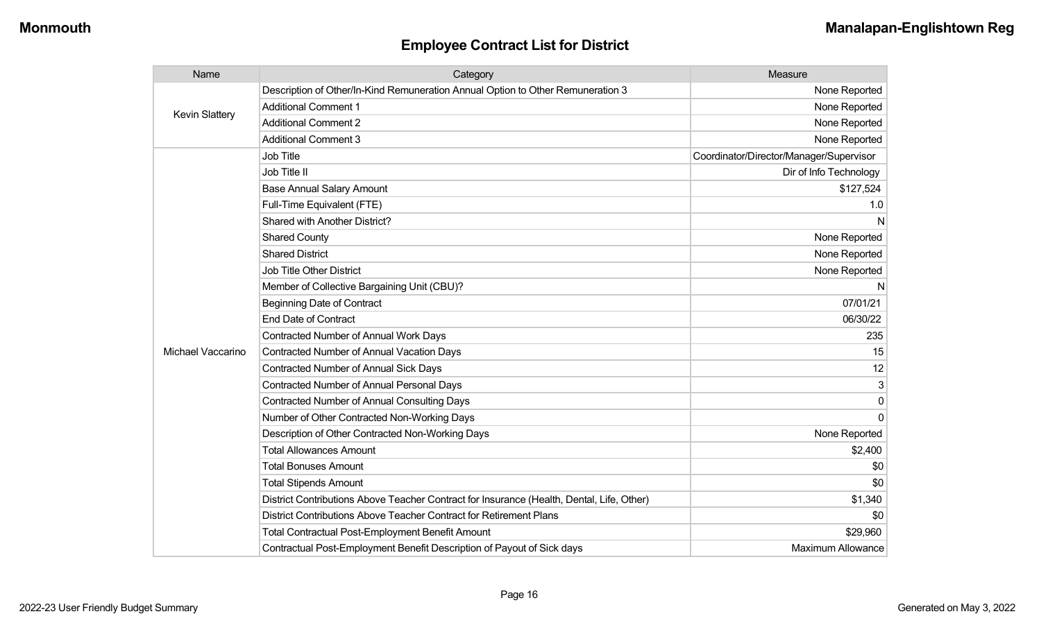| Name                  | Category                                                                                  | Measure                                 |
|-----------------------|-------------------------------------------------------------------------------------------|-----------------------------------------|
|                       | Description of Other/In-Kind Remuneration Annual Option to Other Remuneration 3           | None Reported                           |
| <b>Kevin Slattery</b> | <b>Additional Comment 1</b>                                                               | None Reported                           |
|                       | <b>Additional Comment 2</b>                                                               | None Reported                           |
|                       | <b>Additional Comment 3</b>                                                               | None Reported                           |
|                       | Job Title                                                                                 | Coordinator/Director/Manager/Supervisor |
|                       | Job Title II                                                                              | Dir of Info Technology                  |
|                       | <b>Base Annual Salary Amount</b>                                                          | \$127,524                               |
|                       | Full-Time Equivalent (FTE)                                                                | 1.0                                     |
|                       | Shared with Another District?                                                             | N                                       |
|                       | <b>Shared County</b>                                                                      | None Reported                           |
|                       | <b>Shared District</b>                                                                    | None Reported                           |
|                       | <b>Job Title Other District</b>                                                           | None Reported                           |
|                       | Member of Collective Bargaining Unit (CBU)?                                               | N                                       |
|                       | <b>Beginning Date of Contract</b>                                                         | 07/01/21                                |
|                       | <b>End Date of Contract</b>                                                               | 06/30/22                                |
|                       | <b>Contracted Number of Annual Work Days</b>                                              | 235                                     |
| Michael Vaccarino     | Contracted Number of Annual Vacation Days                                                 | 15                                      |
|                       | Contracted Number of Annual Sick Days                                                     | 12                                      |
|                       | Contracted Number of Annual Personal Days                                                 | 3                                       |
|                       | <b>Contracted Number of Annual Consulting Days</b>                                        | 0                                       |
|                       | Number of Other Contracted Non-Working Days                                               | $\Omega$                                |
|                       | Description of Other Contracted Non-Working Days                                          | None Reported                           |
|                       | <b>Total Allowances Amount</b>                                                            | \$2,400                                 |
|                       | <b>Total Bonuses Amount</b>                                                               | \$0                                     |
|                       | <b>Total Stipends Amount</b>                                                              | \$0                                     |
|                       | District Contributions Above Teacher Contract for Insurance (Health, Dental, Life, Other) | \$1,340                                 |
|                       | District Contributions Above Teacher Contract for Retirement Plans                        | \$0                                     |
|                       | <b>Total Contractual Post-Employment Benefit Amount</b>                                   | \$29,960                                |
|                       | Contractual Post-Employment Benefit Description of Payout of Sick days                    | <b>Maximum Allowance</b>                |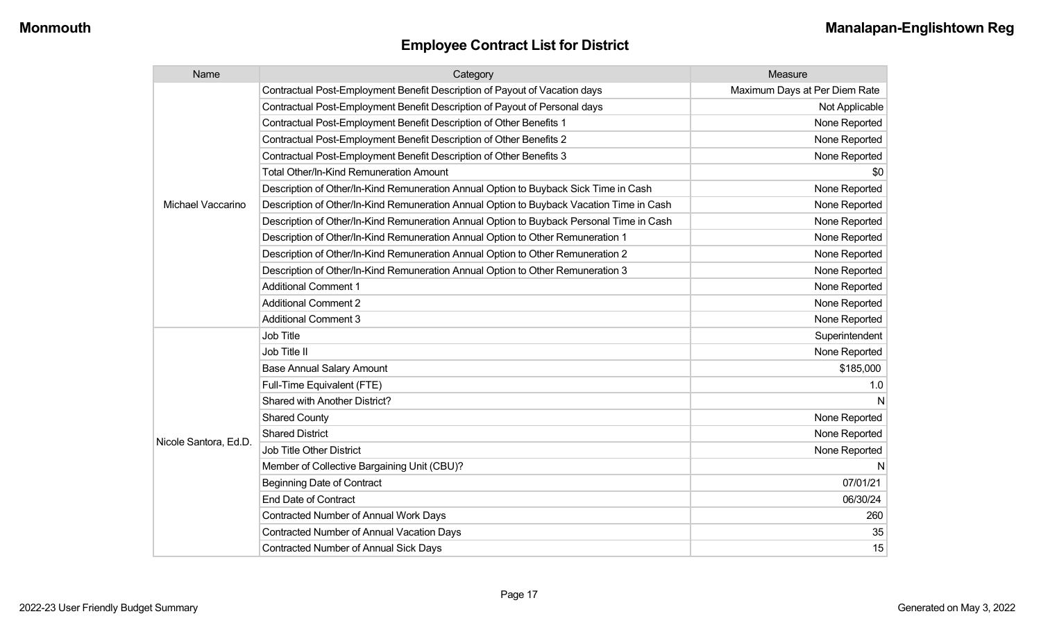| Name                  | Category                                                                                 | Measure                       |
|-----------------------|------------------------------------------------------------------------------------------|-------------------------------|
|                       | Contractual Post-Employment Benefit Description of Payout of Vacation days               | Maximum Days at Per Diem Rate |
|                       | Contractual Post-Employment Benefit Description of Payout of Personal days               | Not Applicable                |
|                       | Contractual Post-Employment Benefit Description of Other Benefits 1                      | None Reported                 |
|                       | Contractual Post-Employment Benefit Description of Other Benefits 2                      | None Reported                 |
|                       | Contractual Post-Employment Benefit Description of Other Benefits 3                      | None Reported                 |
|                       | <b>Total Other/In-Kind Remuneration Amount</b>                                           | \$0                           |
|                       | Description of Other/In-Kind Remuneration Annual Option to Buyback Sick Time in Cash     | None Reported                 |
| Michael Vaccarino     | Description of Other/In-Kind Remuneration Annual Option to Buyback Vacation Time in Cash | None Reported                 |
|                       | Description of Other/In-Kind Remuneration Annual Option to Buyback Personal Time in Cash | None Reported                 |
|                       | Description of Other/In-Kind Remuneration Annual Option to Other Remuneration 1          | None Reported                 |
|                       | Description of Other/In-Kind Remuneration Annual Option to Other Remuneration 2          | None Reported                 |
|                       | Description of Other/In-Kind Remuneration Annual Option to Other Remuneration 3          | None Reported                 |
|                       | <b>Additional Comment 1</b>                                                              | None Reported                 |
|                       | <b>Additional Comment 2</b>                                                              | None Reported                 |
|                       | <b>Additional Comment 3</b>                                                              | None Reported                 |
|                       | Job Title                                                                                | Superintendent                |
|                       | Job Title II                                                                             | None Reported                 |
|                       | <b>Base Annual Salary Amount</b>                                                         | \$185,000                     |
|                       | Full-Time Equivalent (FTE)                                                               | 1.0                           |
|                       | Shared with Another District?                                                            | N                             |
|                       | <b>Shared County</b>                                                                     | None Reported                 |
| Nicole Santora, Ed.D. | <b>Shared District</b>                                                                   | None Reported                 |
|                       | Job Title Other District                                                                 | None Reported                 |
|                       | Member of Collective Bargaining Unit (CBU)?                                              | N                             |
|                       | <b>Beginning Date of Contract</b>                                                        | 07/01/21                      |
|                       | End Date of Contract                                                                     | 06/30/24                      |
|                       | Contracted Number of Annual Work Days                                                    | 260                           |
|                       | <b>Contracted Number of Annual Vacation Days</b>                                         | 35                            |
|                       | Contracted Number of Annual Sick Days                                                    | 15                            |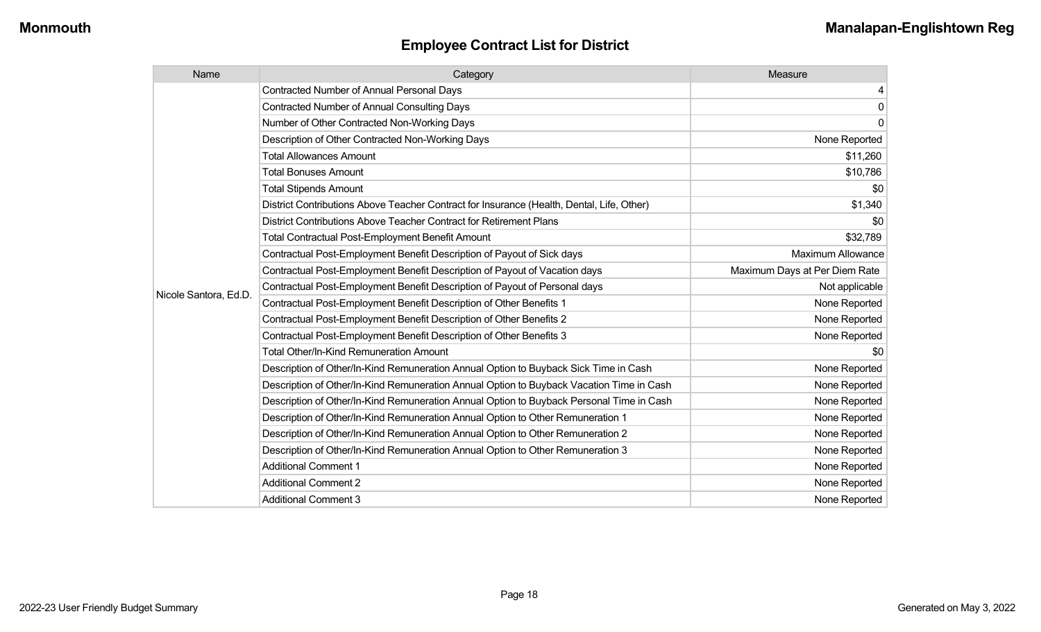| Name                  | Category                                                                                  | Measure                       |
|-----------------------|-------------------------------------------------------------------------------------------|-------------------------------|
|                       | <b>Contracted Number of Annual Personal Days</b>                                          | 4                             |
|                       | <b>Contracted Number of Annual Consulting Days</b>                                        | $\mathbf 0$                   |
|                       | Number of Other Contracted Non-Working Days                                               | $\mathbf 0$                   |
|                       | Description of Other Contracted Non-Working Days                                          | None Reported                 |
|                       | <b>Total Allowances Amount</b>                                                            | \$11,260                      |
|                       | <b>Total Bonuses Amount</b>                                                               | \$10,786                      |
|                       | <b>Total Stipends Amount</b>                                                              | \$0                           |
|                       | District Contributions Above Teacher Contract for Insurance (Health, Dental, Life, Other) | \$1,340                       |
|                       | District Contributions Above Teacher Contract for Retirement Plans                        | \$0                           |
|                       | <b>Total Contractual Post-Employment Benefit Amount</b>                                   | \$32,789                      |
|                       | Contractual Post-Employment Benefit Description of Payout of Sick days                    | <b>Maximum Allowance</b>      |
|                       | Contractual Post-Employment Benefit Description of Payout of Vacation days                | Maximum Days at Per Diem Rate |
| Nicole Santora, Ed.D. | Contractual Post-Employment Benefit Description of Payout of Personal days                | Not applicable                |
|                       | Contractual Post-Employment Benefit Description of Other Benefits 1                       | None Reported                 |
|                       | Contractual Post-Employment Benefit Description of Other Benefits 2                       | None Reported                 |
|                       | Contractual Post-Employment Benefit Description of Other Benefits 3                       | None Reported                 |
|                       | Total Other/In-Kind Remuneration Amount                                                   | \$0                           |
|                       | Description of Other/In-Kind Remuneration Annual Option to Buyback Sick Time in Cash      | None Reported                 |
|                       | Description of Other/In-Kind Remuneration Annual Option to Buyback Vacation Time in Cash  | None Reported                 |
|                       | Description of Other/In-Kind Remuneration Annual Option to Buyback Personal Time in Cash  | None Reported                 |
|                       | Description of Other/In-Kind Remuneration Annual Option to Other Remuneration 1           | None Reported                 |
|                       | Description of Other/In-Kind Remuneration Annual Option to Other Remuneration 2           | None Reported                 |
|                       | Description of Other/In-Kind Remuneration Annual Option to Other Remuneration 3           | None Reported                 |
|                       | <b>Additional Comment 1</b>                                                               | None Reported                 |
|                       | <b>Additional Comment 2</b>                                                               | None Reported                 |
|                       | <b>Additional Comment 3</b>                                                               | None Reported                 |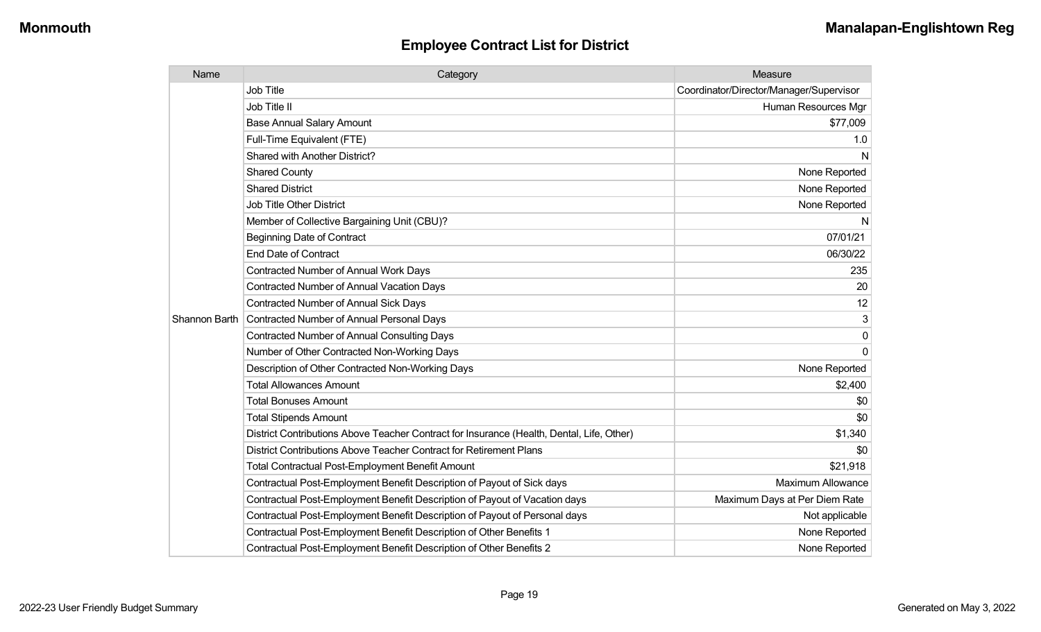| Name          | Category                                                                                  | Measure                                 |
|---------------|-------------------------------------------------------------------------------------------|-----------------------------------------|
|               | <b>Job Title</b>                                                                          | Coordinator/Director/Manager/Supervisor |
|               | Job Title II                                                                              | Human Resources Mgr                     |
|               | <b>Base Annual Salary Amount</b>                                                          | \$77,009                                |
|               | Full-Time Equivalent (FTE)                                                                | 1.0                                     |
|               | <b>Shared with Another District?</b>                                                      | N                                       |
|               | <b>Shared County</b>                                                                      | None Reported                           |
|               | <b>Shared District</b>                                                                    | None Reported                           |
|               | Job Title Other District                                                                  | None Reported                           |
|               | Member of Collective Bargaining Unit (CBU)?                                               | N                                       |
|               | <b>Beginning Date of Contract</b>                                                         | 07/01/21                                |
|               | <b>End Date of Contract</b>                                                               | 06/30/22                                |
|               | <b>Contracted Number of Annual Work Days</b>                                              | 235                                     |
|               | Contracted Number of Annual Vacation Days                                                 | 20                                      |
|               | Contracted Number of Annual Sick Days                                                     | 12                                      |
| Shannon Barth | <b>Contracted Number of Annual Personal Days</b>                                          | 3                                       |
|               | <b>Contracted Number of Annual Consulting Days</b>                                        | $\Omega$                                |
|               | Number of Other Contracted Non-Working Days                                               | $\Omega$                                |
|               | Description of Other Contracted Non-Working Days                                          | None Reported                           |
|               | <b>Total Allowances Amount</b>                                                            | \$2,400                                 |
|               | <b>Total Bonuses Amount</b>                                                               | \$0                                     |
|               | <b>Total Stipends Amount</b>                                                              | \$0                                     |
|               | District Contributions Above Teacher Contract for Insurance (Health, Dental, Life, Other) | \$1,340                                 |
|               | District Contributions Above Teacher Contract for Retirement Plans                        | \$0                                     |
|               | <b>Total Contractual Post-Employment Benefit Amount</b>                                   | \$21,918                                |
|               | Contractual Post-Employment Benefit Description of Payout of Sick days                    | <b>Maximum Allowance</b>                |
|               | Contractual Post-Employment Benefit Description of Payout of Vacation days                | Maximum Days at Per Diem Rate           |
|               | Contractual Post-Employment Benefit Description of Payout of Personal days                | Not applicable                          |
|               | Contractual Post-Employment Benefit Description of Other Benefits 1                       | None Reported                           |
|               | Contractual Post-Employment Benefit Description of Other Benefits 2                       | None Reported                           |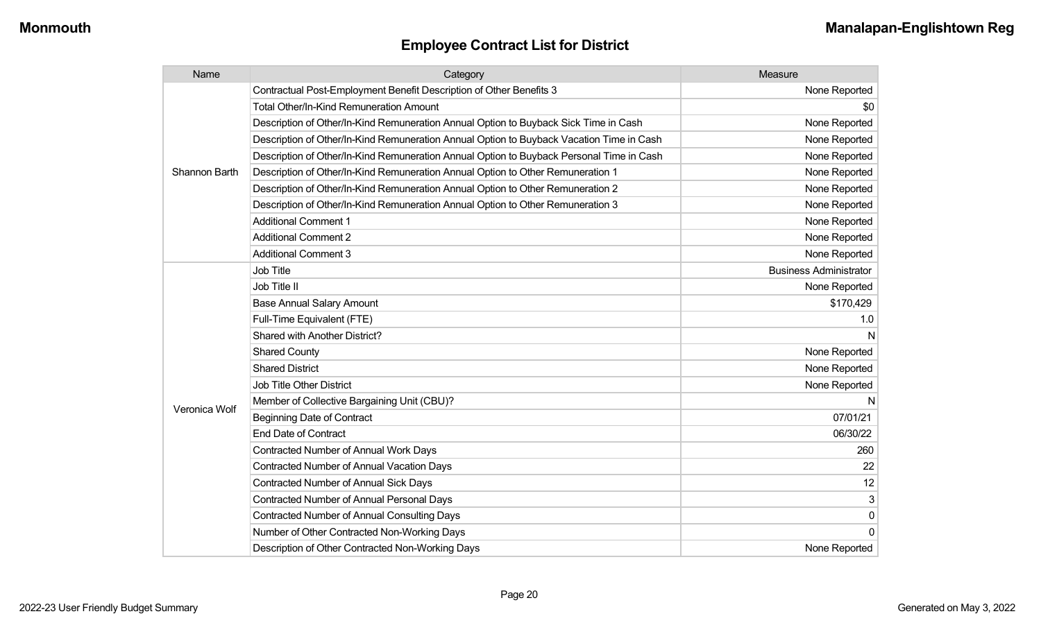| Name                 | Category                                                                                 | Measure                       |
|----------------------|------------------------------------------------------------------------------------------|-------------------------------|
|                      | Contractual Post-Employment Benefit Description of Other Benefits 3                      | None Reported                 |
|                      | Total Other/In-Kind Remuneration Amount                                                  | \$0                           |
|                      | Description of Other/In-Kind Remuneration Annual Option to Buyback Sick Time in Cash     | None Reported                 |
|                      | Description of Other/In-Kind Remuneration Annual Option to Buyback Vacation Time in Cash | None Reported                 |
|                      | Description of Other/In-Kind Remuneration Annual Option to Buyback Personal Time in Cash | None Reported                 |
| <b>Shannon Barth</b> | Description of Other/In-Kind Remuneration Annual Option to Other Remuneration 1          | None Reported                 |
|                      | Description of Other/In-Kind Remuneration Annual Option to Other Remuneration 2          | None Reported                 |
|                      | Description of Other/In-Kind Remuneration Annual Option to Other Remuneration 3          | None Reported                 |
|                      | <b>Additional Comment 1</b>                                                              | None Reported                 |
|                      | <b>Additional Comment 2</b>                                                              | None Reported                 |
|                      | <b>Additional Comment 3</b>                                                              | None Reported                 |
|                      | <b>Job Title</b>                                                                         | <b>Business Administrator</b> |
|                      | Job Title II                                                                             | None Reported                 |
|                      | <b>Base Annual Salary Amount</b>                                                         | \$170,429                     |
|                      | Full-Time Equivalent (FTE)                                                               | 1.0                           |
|                      | Shared with Another District?                                                            |                               |
|                      | <b>Shared County</b>                                                                     | None Reported                 |
|                      | <b>Shared District</b>                                                                   | None Reported                 |
|                      | <b>Job Title Other District</b>                                                          | None Reported                 |
|                      | Member of Collective Bargaining Unit (CBU)?                                              | N                             |
| Veronica Wolf        | <b>Beginning Date of Contract</b>                                                        | 07/01/21                      |
|                      | <b>End Date of Contract</b>                                                              | 06/30/22                      |
|                      | Contracted Number of Annual Work Days                                                    | 260                           |
|                      | <b>Contracted Number of Annual Vacation Days</b>                                         | 22                            |
|                      | Contracted Number of Annual Sick Days                                                    | 12                            |
|                      | <b>Contracted Number of Annual Personal Days</b>                                         | 3                             |
|                      | <b>Contracted Number of Annual Consulting Days</b>                                       | $\mathbf 0$                   |
|                      | Number of Other Contracted Non-Working Days                                              | $\Omega$                      |
|                      | Description of Other Contracted Non-Working Days                                         | None Reported                 |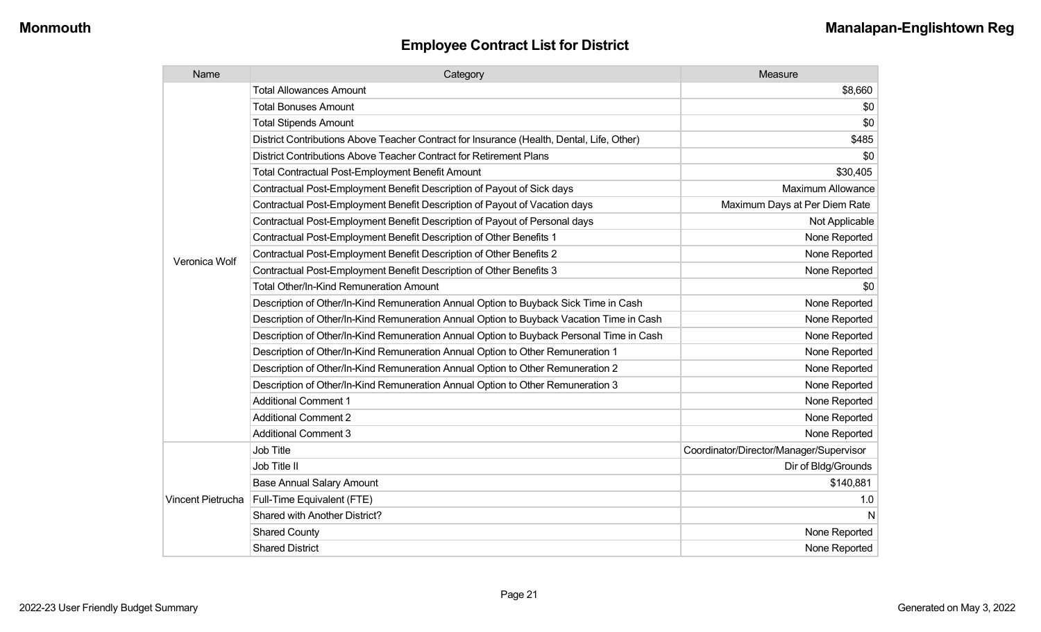| Name              | Category                                                                                  | Measure                                 |
|-------------------|-------------------------------------------------------------------------------------------|-----------------------------------------|
|                   | <b>Total Allowances Amount</b>                                                            | \$8,660                                 |
|                   | <b>Total Bonuses Amount</b>                                                               | \$0                                     |
|                   | <b>Total Stipends Amount</b>                                                              | \$0                                     |
|                   | District Contributions Above Teacher Contract for Insurance (Health, Dental, Life, Other) | \$485                                   |
|                   | District Contributions Above Teacher Contract for Retirement Plans                        | \$0                                     |
|                   | <b>Total Contractual Post-Employment Benefit Amount</b>                                   | \$30,405                                |
|                   | Contractual Post-Employment Benefit Description of Payout of Sick days                    | <b>Maximum Allowance</b>                |
|                   | Contractual Post-Employment Benefit Description of Payout of Vacation days                | Maximum Days at Per Diem Rate           |
|                   | Contractual Post-Employment Benefit Description of Payout of Personal days                | Not Applicable                          |
|                   | Contractual Post-Employment Benefit Description of Other Benefits 1                       | None Reported                           |
| Veronica Wolf     | Contractual Post-Employment Benefit Description of Other Benefits 2                       | None Reported                           |
|                   | Contractual Post-Employment Benefit Description of Other Benefits 3                       | None Reported                           |
|                   | <b>Total Other/In-Kind Remuneration Amount</b>                                            | \$0                                     |
|                   | Description of Other/In-Kind Remuneration Annual Option to Buyback Sick Time in Cash      | None Reported                           |
|                   | Description of Other/In-Kind Remuneration Annual Option to Buyback Vacation Time in Cash  | None Reported                           |
|                   | Description of Other/In-Kind Remuneration Annual Option to Buyback Personal Time in Cash  | None Reported                           |
|                   | Description of Other/In-Kind Remuneration Annual Option to Other Remuneration 1           | None Reported                           |
|                   | Description of Other/In-Kind Remuneration Annual Option to Other Remuneration 2           | None Reported                           |
|                   | Description of Other/In-Kind Remuneration Annual Option to Other Remuneration 3           | None Reported                           |
|                   | <b>Additional Comment 1</b>                                                               | None Reported                           |
|                   | <b>Additional Comment 2</b>                                                               | None Reported                           |
|                   | <b>Additional Comment 3</b>                                                               | None Reported                           |
|                   | Job Title                                                                                 | Coordinator/Director/Manager/Supervisor |
|                   | Job Title II                                                                              | Dir of Bldg/Grounds                     |
|                   | <b>Base Annual Salary Amount</b>                                                          | \$140,881                               |
| Vincent Pietrucha | Full-Time Equivalent (FTE)                                                                | 1.0                                     |
|                   | Shared with Another District?                                                             | N                                       |
|                   | <b>Shared County</b>                                                                      | None Reported                           |
|                   | <b>Shared District</b>                                                                    | None Reported                           |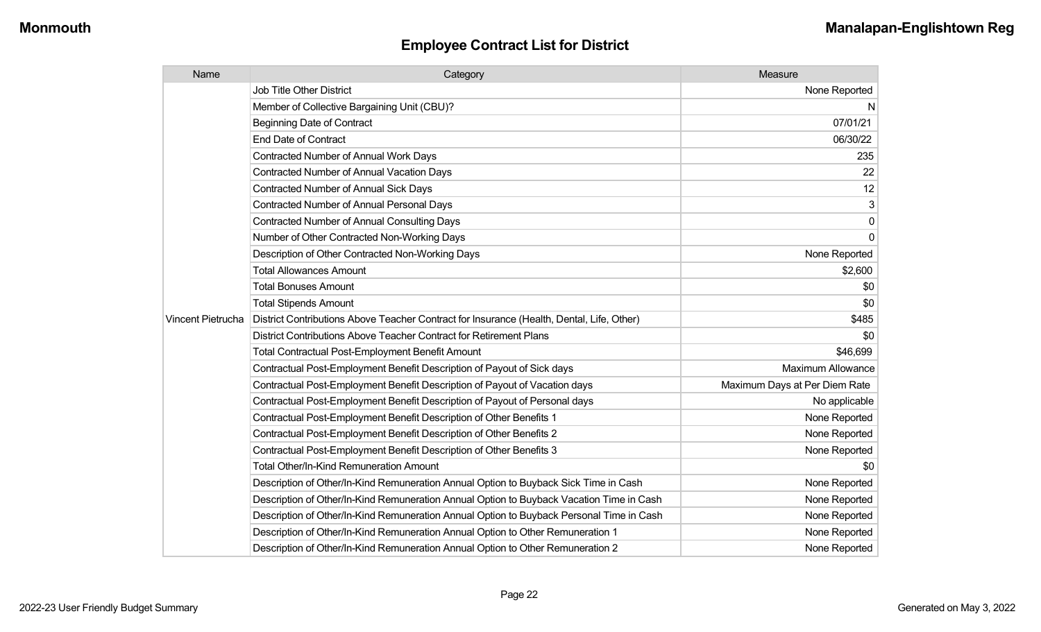| Name              | Category                                                                                  | Measure                       |
|-------------------|-------------------------------------------------------------------------------------------|-------------------------------|
|                   | <b>Job Title Other District</b>                                                           | None Reported                 |
|                   | Member of Collective Bargaining Unit (CBU)?                                               | N                             |
|                   | <b>Beginning Date of Contract</b>                                                         | 07/01/21                      |
|                   | <b>End Date of Contract</b>                                                               | 06/30/22                      |
|                   | <b>Contracted Number of Annual Work Days</b>                                              | 235                           |
|                   | <b>Contracted Number of Annual Vacation Days</b>                                          | 22                            |
|                   | Contracted Number of Annual Sick Days                                                     | 12                            |
|                   | Contracted Number of Annual Personal Days                                                 | 3                             |
|                   | <b>Contracted Number of Annual Consulting Days</b>                                        | 0                             |
|                   | Number of Other Contracted Non-Working Days                                               | $\Omega$                      |
|                   | Description of Other Contracted Non-Working Days                                          | None Reported                 |
|                   | <b>Total Allowances Amount</b>                                                            | \$2,600                       |
|                   | <b>Total Bonuses Amount</b>                                                               | \$0                           |
|                   | <b>Total Stipends Amount</b>                                                              | \$0                           |
| Vincent Pietrucha | District Contributions Above Teacher Contract for Insurance (Health, Dental, Life, Other) | \$485                         |
|                   | District Contributions Above Teacher Contract for Retirement Plans                        | \$0                           |
|                   | Total Contractual Post-Employment Benefit Amount                                          | \$46,699                      |
|                   | Contractual Post-Employment Benefit Description of Payout of Sick days                    | <b>Maximum Allowance</b>      |
|                   | Contractual Post-Employment Benefit Description of Payout of Vacation days                | Maximum Days at Per Diem Rate |
|                   | Contractual Post-Employment Benefit Description of Payout of Personal days                | No applicable                 |
|                   | Contractual Post-Employment Benefit Description of Other Benefits 1                       | None Reported                 |
|                   | Contractual Post-Employment Benefit Description of Other Benefits 2                       | None Reported                 |
|                   | Contractual Post-Employment Benefit Description of Other Benefits 3                       | None Reported                 |
|                   | Total Other/In-Kind Remuneration Amount                                                   | \$0                           |
|                   | Description of Other/In-Kind Remuneration Annual Option to Buyback Sick Time in Cash      | None Reported                 |
|                   | Description of Other/In-Kind Remuneration Annual Option to Buyback Vacation Time in Cash  | None Reported                 |
|                   | Description of Other/In-Kind Remuneration Annual Option to Buyback Personal Time in Cash  | None Reported                 |
|                   | Description of Other/In-Kind Remuneration Annual Option to Other Remuneration 1           | None Reported                 |
|                   | Description of Other/In-Kind Remuneration Annual Option to Other Remuneration 2           | None Reported                 |